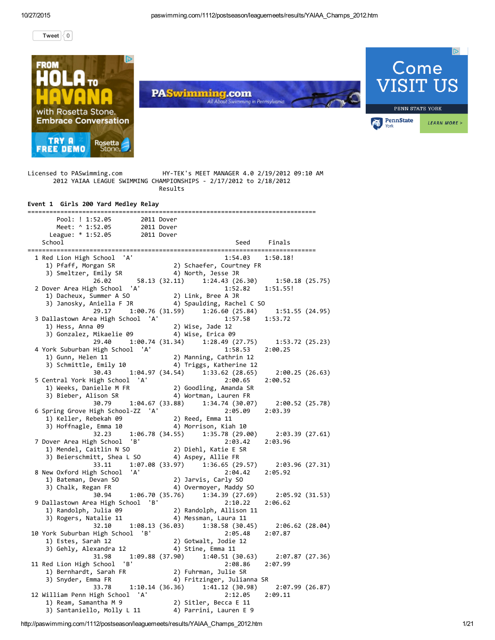[Tweet](https://twitter.com/intent/tweet?hashtags=paswimming&original_referer=http%3A%2F%2Fpaswimming.com%2F1112%2Fpostseason%2Fleaguemeets%2Fresults%2FYAIAA_Champs_2012.htm&ref_src=twsrc%5Etfw&related=paswimming&tw_p=tweetbutton&url=http%3A%2F%2Fpaswimming.com%2F1112%2Fpostseason%2Fleaguemeets%2Fresults%2FYAIAA_Champs_2012.htm&via=paswimming)  $\vert \langle 0 \vert \vert$  $\vert \langle 0 \vert \vert$  $\vert \langle 0 \vert \vert$ 



Licensed to PASwimming.com HY-TEK's MEET MANAGER 4.0 2/19/2012 09:10 AM 2012 YAIAA LEAGUE SWIMMING CHAMPIONSHIPS ‐ 2/17/2012 to 2/18/2012 Results

# Event 1 Girls 200 Yard Medley Relay

| School                                                                                                                                                                                                                 | Seed Finals                                                                                                                                                                                                                              |
|------------------------------------------------------------------------------------------------------------------------------------------------------------------------------------------------------------------------|------------------------------------------------------------------------------------------------------------------------------------------------------------------------------------------------------------------------------------------|
|                                                                                                                                                                                                                        |                                                                                                                                                                                                                                          |
|                                                                                                                                                                                                                        | 1 Red Lion High School 'A' 1:54.05<br>1 Red Lion High School 'A' 1)<br>1 Pfaff, Morgan SR 2) Schaefer, Courtney FR<br>3) Smeltzer, Emily SR 4) North, Jesse JR<br>26.02 58.13 (32.11) 1:24.43 (26.30) 1:50.18 (25.75)<br>1:52.82 1:51.55 |
|                                                                                                                                                                                                                        |                                                                                                                                                                                                                                          |
|                                                                                                                                                                                                                        |                                                                                                                                                                                                                                          |
|                                                                                                                                                                                                                        |                                                                                                                                                                                                                                          |
|                                                                                                                                                                                                                        |                                                                                                                                                                                                                                          |
| over area High School A and the set of the set of the set of the set of the set of the set of the set of the s<br>(1) Dacheux, Summer A SO (2) Link, Bree A JR<br>(3) Janosky, Aniella F JR (4) Spaulding, Rachel C SO |                                                                                                                                                                                                                                          |
|                                                                                                                                                                                                                        |                                                                                                                                                                                                                                          |
|                                                                                                                                                                                                                        | 29.17 1:00.76 (31.59) 1:26.60 (25.84) 1:51.55 (24.95)                                                                                                                                                                                    |
| 3 Dallastown Area High School 'A'                                                                                                                                                                                      |                                                                                                                                                                                                                                          |
|                                                                                                                                                                                                                        | $1:57.58$ $1:53.72$                                                                                                                                                                                                                      |
| 1) Hess, Anna 09<br>1) Hess, Anna 09<br>3) Gonzalez, Mikaelie 09 (4) Wise, Erica 09                                                                                                                                    |                                                                                                                                                                                                                                          |
|                                                                                                                                                                                                                        |                                                                                                                                                                                                                                          |
|                                                                                                                                                                                                                        | 29.40 1:00.74 (31.34) 1:28.49 (27.75) 1:53.72 (25.23)<br>High School 'A' 1:58.53 2:00.25                                                                                                                                                 |
| 4 York Suburban High School 'A'                                                                                                                                                                                        |                                                                                                                                                                                                                                          |
| 1) Gunn, Helen 11 (2) Manning, Cathrin 12<br>3) Schmittle, Emily 10 (4) Triggs, Katherine 12                                                                                                                           |                                                                                                                                                                                                                                          |
|                                                                                                                                                                                                                        |                                                                                                                                                                                                                                          |
|                                                                                                                                                                                                                        | 30.43 1:04.97 (34.54) 1:33.62 (28.65)<br>2:00.25 (26.63)                                                                                                                                                                                 |
|                                                                                                                                                                                                                        |                                                                                                                                                                                                                                          |
|                                                                                                                                                                                                                        |                                                                                                                                                                                                                                          |
|                                                                                                                                                                                                                        | 3 Central York High School<br>1) Weeks, Danielle M FR<br>3) Bieber, Alison SR<br>39.79 1:04.67 (33.88) 1:34.74 (30.07) 2:00.52 (25.78)<br>2:00.52 (25.78)<br>30.79 1:04.67 (33.88) 1:34.74 (30.07) 2:00.52 (25.78)                       |
|                                                                                                                                                                                                                        |                                                                                                                                                                                                                                          |
| 6 Spring Grove High School-ZZ 'A'                                                                                                                                                                                      | 2:05.09 2:03.39                                                                                                                                                                                                                          |
| 1) Keller, Rebekah 09<br>3) Hoffnagle, Emma 10 (4) Morrison, Kiah 10                                                                                                                                                   |                                                                                                                                                                                                                                          |
|                                                                                                                                                                                                                        |                                                                                                                                                                                                                                          |
|                                                                                                                                                                                                                        | 32.23 1:06.78 (34.55) 1:35.78 (29.00) 2:03.39 (27.61)                                                                                                                                                                                    |
| 7 Dover Area High School 'B'                                                                                                                                                                                           | 2:03.42<br>2:03.96                                                                                                                                                                                                                       |
|                                                                                                                                                                                                                        |                                                                                                                                                                                                                                          |
|                                                                                                                                                                                                                        |                                                                                                                                                                                                                                          |
|                                                                                                                                                                                                                        | $33.11$ 1:07.08 (33.97) 1:36.65 (29.57) 2:03.96 (27.31)                                                                                                                                                                                  |
| 8 New Oxford High School 'A'                                                                                                                                                                                           | 2:04.42 2:05.92                                                                                                                                                                                                                          |
|                                                                                                                                                                                                                        |                                                                                                                                                                                                                                          |
|                                                                                                                                                                                                                        |                                                                                                                                                                                                                                          |
|                                                                                                                                                                                                                        | lew Oxford High School 'A'<br>1) Bateman, Devan SO<br>3) Chalk, Regan FR<br>30.94 1:06.70 (35.76) 1:34.39 (27.69) 2:05.92 (31.53)<br>30.94 1:06.70 (35.76) 1:34.39 (27.69) 2:05.92 (31.53)                                               |
| 9 Dallastown Area High School 'B'                                                                                                                                                                                      | 2:10.22<br>2:06.62                                                                                                                                                                                                                       |
|                                                                                                                                                                                                                        |                                                                                                                                                                                                                                          |
| 1) Randolph, Julia 09 2) Randolph, Allison 11<br>3) Rogers, Natalie 11 4) Messman, Laura 11                                                                                                                            |                                                                                                                                                                                                                                          |
|                                                                                                                                                                                                                        | 32.10 1:08.13 (36.03) 1:38.58 (30.45) 2:06.62 (28.04)                                                                                                                                                                                    |
|                                                                                                                                                                                                                        | 2:05.48 2:07.87                                                                                                                                                                                                                          |
| 10 York Suburban High School 'B' 2:05.48<br>1) Estes, Sarah 12 2) Gotwalt, Jodie 12<br>3) Gehly, Alexandra 12 4) Stine, Emma 11                                                                                        |                                                                                                                                                                                                                                          |
|                                                                                                                                                                                                                        |                                                                                                                                                                                                                                          |
|                                                                                                                                                                                                                        | 31.98   1:09.88   (37.90)   1:40.51   (30.63)   2:07.87   (27.36)                                                                                                                                                                        |
| 11 Red Lion High School 'B'                                                                                                                                                                                            | 2:08.86 2:07.99                                                                                                                                                                                                                          |
| 1) Bernhardt, Sarah FR<br>1) Bernhardt, Sarah FR<br>3) Snyder, Emma FR<br>4) Fritzinger, Julianna SR                                                                                                                   |                                                                                                                                                                                                                                          |
|                                                                                                                                                                                                                        |                                                                                                                                                                                                                                          |
|                                                                                                                                                                                                                        | 33.78 1:10.14 (36.36) 1:41.12 (30.98) 2:07.99 (26.87)                                                                                                                                                                                    |
| 12 William Penn High School 'A'                                                                                                                                                                                        | 2:12.05 2:09.11                                                                                                                                                                                                                          |
|                                                                                                                                                                                                                        |                                                                                                                                                                                                                                          |
| 1) Ream, Samantha M 9                     2) Sitler, Becca E 11<br>3) Santaniello, Molly L 11         4) Parrini, Lauren E 9                                                                                           |                                                                                                                                                                                                                                          |
|                                                                                                                                                                                                                        |                                                                                                                                                                                                                                          |

http://paswimming.com/1112/postseason/leaguemeets/results/YAIAA\_Champs\_2012.htm 1/21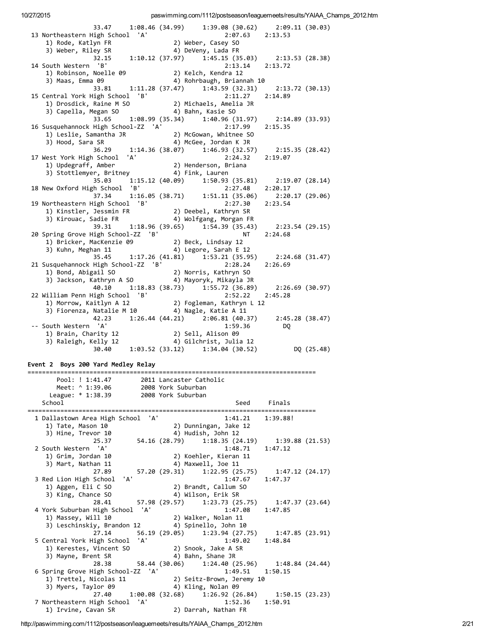| 33.47 1:08.46 (34.99) 1:39.08 (30.62) 2:09.11 (30.03)                                                                                                                                                                                                               |                                                    |         |  |
|---------------------------------------------------------------------------------------------------------------------------------------------------------------------------------------------------------------------------------------------------------------------|----------------------------------------------------|---------|--|
| 13 Northeastern High School 'A'<br>Vortheastern High School 'A' 2:07.63 2:13.53<br>1) Rode, Katlyn FR 2) Weber, Casey SO<br>3) Weber, Riley SR 4) DeVeny, Lada FR<br>32.15 1:10.12 (37.97) 1:45.15 (35.03) 2:13.53 (28.38)                                          |                                                    |         |  |
|                                                                                                                                                                                                                                                                     |                                                    |         |  |
|                                                                                                                                                                                                                                                                     |                                                    |         |  |
|                                                                                                                                                                                                                                                                     |                                                    |         |  |
| 14 South Western 'B'                                                                                                                                                                                                                                                | $2:13.14$ $2:13.72$                                |         |  |
| outh Western is<br>1) Robinson, Noelle 09 (2) Kelch, Kendra 12<br>2) Maas Emma 09 (4) Rohrbaugh, Briannah 10                                                                                                                                                        |                                                    |         |  |
|                                                                                                                                                                                                                                                                     |                                                    |         |  |
| 33.81   1:11.28   (37.47)   1:43.59   (32.31)   2:13.72   (30.13)                                                                                                                                                                                                   |                                                    |         |  |
| 15 Central York High School 'B'<br>2:11.27 [entral York High School 'B' 2:11.27<br>1) Drosdick, Raine M SO 2) Michaels, Amelia JR                                                                                                                                   | 2:11.27 2:14.89                                    |         |  |
|                                                                                                                                                                                                                                                                     |                                                    |         |  |
| 4) Bahn, Kasie SO<br>3) Capella, Megan SO                                                                                                                                                                                                                           |                                                    |         |  |
| 33.65 1:08.99 (35.34) 1:40.96 (31.97) 2:14.89 (33.93)<br>High School-ZZ 'A' 2:17.99 2:15.35                                                                                                                                                                         |                                                    |         |  |
| 2:17.99<br>16 Susquehannock High School-ZZ 'A' 2) McGowan, Whitnee SO<br>11 Ieslie. Samantha JR 2) McGowan, Whitnee SO                                                                                                                                              |                                                    |         |  |
|                                                                                                                                                                                                                                                                     |                                                    |         |  |
|                                                                                                                                                                                                                                                                     |                                                    |         |  |
|                                                                                                                                                                                                                                                                     |                                                    |         |  |
| Susquehannock night Journal (1981)<br>1) Leslie, Samantha JR (2) McGowan, which contract the conduct of the discover of the discover of the discover<br>3) Hood, Sara SR (32.57) (2:15.35 (28.42)<br>36.29 (1:14.36 (38.07) 1:46.93<br>17 West York High School 'A' |                                                    |         |  |
| est York High School 'A' 2:24.32<br>1) Updegraff, Amber 2) Henderson, Briana<br>3) Stottlemyon, Britany                                                                                                                                                             |                                                    |         |  |
| 3) Stottlemyer, Britney (4) Fink, Lauren                                                                                                                                                                                                                            |                                                    |         |  |
| 35.03 1:15.12 (40.09) 1:50.93 (35.81) 2:19.07 (28.14)                                                                                                                                                                                                               |                                                    |         |  |
| 18 New Oxford High School 'B'                                                                                                                                                                                                                                       | $2:27.48$ $2:20.17$                                |         |  |
| 37.34                                                                                                                                                                                                                                                               | $1:16.05(38.71)$ $1:51.11(35.06)$ $2:20.17(29.06)$ |         |  |
| 19 Northeastern High School 'B'<br>%10000001/0000100001/00001/0000001/00001/000001/00001/00001/00001/00001/00001/00001/00001/00001/000<br>3) Kirouac, Sadie FR (4) Wolfgang, Morgan FR                                                                              | 2:27.30 2:23.54                                    |         |  |
|                                                                                                                                                                                                                                                                     |                                                    |         |  |
|                                                                                                                                                                                                                                                                     |                                                    |         |  |
| 39.31 1:18.96 (39.65) 1:54.39 (35.43) 2:23.54 (29.15)                                                                                                                                                                                                               |                                                    |         |  |
| 20 Spring Grove High School-ZZ 'B'                                                                                                                                                                                                                                  | NT 1                                               | 2:24.68 |  |
| 1) Bricker, MacKenzie 09 2) Beck, Lindsay 12<br>3) Kuhn, Meghan 11 4) Legore, Sarah E 12                                                                                                                                                                            |                                                    |         |  |
|                                                                                                                                                                                                                                                                     |                                                    |         |  |
| 35.45 1:17.26 (41.81) 1:53.21 (35.95) 2:24.68 (31.47)                                                                                                                                                                                                               |                                                    |         |  |
| 21 Susquehannock High School-ZZ 'B'                                                                                                                                                                                                                                 | 2:28.24 2:26.69                                    |         |  |
| 1) Bond, Abigail SO                                                                                                                                                                                                                                                 | 2) Norris, Kathryn SO                              |         |  |
| 3) Jackson, Kathryn A SO 4) Mayoryk, Mikayla JR                                                                                                                                                                                                                     |                                                    |         |  |
| 40.10 1:18.83 (38.73) 1:55.72 (36.89) 2:26.69 (30.97)                                                                                                                                                                                                               |                                                    |         |  |
| 22 William Penn High School 'B' 2:52.22 2<br>1) Morrow, Kaitlyn A 12 2) Fogleman, Kathryn L 12                                                                                                                                                                      | $2:52.22$ $2:45.28$                                |         |  |
|                                                                                                                                                                                                                                                                     |                                                    |         |  |
| 3) Fiorenza, Natalie M 10 (4) Nagle, Katie A 11                                                                                                                                                                                                                     |                                                    |         |  |
| 42.23 1:26.44 (44.21) 2:06.81 (40.37) 2:45.28 (38.47)                                                                                                                                                                                                               |                                                    |         |  |
| -- South Western 'A'                                                                                                                                                                                                                                                | 1:59.36                                            | DQ      |  |
| 1) Brain, Charity 12 2) Sell, Alison 09<br>3) Raleigh, Kelly 12 4) Gilchrist, Julia 12<br>30.40 1:03.52 (33.12) 1:34.04 (30.52) DQ (25.48)                                                                                                                          |                                                    |         |  |
|                                                                                                                                                                                                                                                                     |                                                    |         |  |
|                                                                                                                                                                                                                                                                     |                                                    |         |  |

#### Event 2 Boys 200 Yard Medley Relay

=============================================================================== Pool: ! 1:41.47 2011 Lancaster Catholic Meet: ^ 1:39.06 2008 York Suburban League: \* 1:38.39 2008 York Suburban School Seed Finals =============================================================================== 1 Dallastown Area High School 'A' 1) Tate, Mason 10 2) Dunningan, Jake 12 3) Hine, Trevor 10 4) Hudish, John 12 25.37 54.16 (28.79) 1:18.35 (24.19) 1:39.88 (21.53) 2 South Western 'A' 1) Grim, Jordan 10 2) Koehler, Kieran 11 3) Mart, Nathan 11 4) Maxwell, Joe 11 27.89 57.20 (29.31) 1:22.95 (25.75) 1:47.12 (24.17) 3 Red Lion High School 'A' 1:47.67 1:47.37 1) Aggen, Eli C SO 2) Brandt, Callum SO 3) King, Chance SO 4) Wilson, Erik SR 28.41 57.98 (29.57) 1:23.73 (25.75) 1:47.37 (23.64) 4 York Suburban High School 'A' 1:47.08 1:47.85 1) Massey, Will 10 2) Walker, Nolan 11<br>3) Leschinskiy, Brandon 12 4) Spinello, John 10 3) Leschinskiy, Brandon 12  $\begin{array}{c} 4) \text{ } S_1 \ \text{ } 27.14 \ \text{ } 56.19 \text{ } (29.05) \end{array}$ 27.14 56.19 (29.05) 1:23.94 (27.75) 1:47.85 (23.91) 5 Central York High School 'A' 1:49.02 1:48.84<br>1) Kerestes, Vincent SO 2) Snook, Jake A SR 1) Kerestes, Vincent SO 3) Mayne, Brent SR 4) Bahn, Shane JR<br>28.38 58.44 (30.06) 1:24.40 (2 28.38 58.44 (30.06) 1:24.40 (25.96) 1:48.84 (24.44) 6 Spring Grove High School-ZZ 'A' 1:49.51 1:50.15 1) Trettel, Nicolas 11 2) Seitz-Brown, Jeremy 10<br>3) Myers, Taylor 09 4) Kling, Nolan 09 3) Myers, Taylor 09 27.40 1:00.08 (32.68) 1:26.92 (26.84) 1:50.15 (23.23) 7 Northeastern High School 'A' 1:52.36 1:50.91 1) Irvine, Cavan SR 2) Darrah, Nathan FR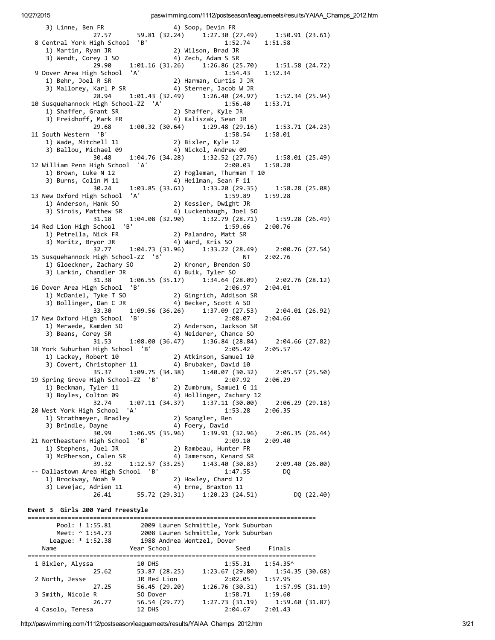| 3) Linne, Ben FR                                                                                                         |                            |                     |                                                                              |                   |                |
|--------------------------------------------------------------------------------------------------------------------------|----------------------------|---------------------|------------------------------------------------------------------------------|-------------------|----------------|
|                                                                                                                          |                            |                     |                                                                              |                   |                |
| 8 Central York High School 'B'                                                                                           |                            |                     | 1:52.74                                                                      | 1:51.58           |                |
|                                                                                                                          |                            |                     |                                                                              |                   |                |
|                                                                                                                          |                            |                     |                                                                              |                   |                |
| 29.90                                                                                                                    |                            |                     | $1:01.16$ (31.26) $1:26.86$ (25.70) $1:51.58$ (24.72)                        |                   |                |
| 9 Dover Area High School 'A'                                                                                             |                            |                     | 1:54.43                                                                      | 1:52.34           |                |
|                                                                                                                          |                            |                     |                                                                              |                   |                |
| 28.94                                                                                                                    |                            |                     | 1:01.43 (32.49) 1:26.40 (24.97) 1:52.34 (25.94)                              |                   |                |
| 10 Susquehannock High School-ZZ 'A'                                                                                      |                            |                     | 1:56.40                                                                      | 1:53.71           |                |
|                                                                                                                          |                            |                     |                                                                              |                   |                |
|                                                                                                                          |                            |                     |                                                                              |                   |                |
|                                                                                                                          |                            |                     | 29.68 1:00.32 (30.64) 1:29.48 (29.16) 1:53.71 (24.23)                        |                   |                |
| 11 South Western 'B'                                                                                                     |                            |                     | 1:58.54                                                                      | 1:58.01           |                |
| 1) Wade, Mitchell 11 (2) Bixler, Kyle 12<br>3) Ballou, Michael 09 (4) Nickol, Andrew 09                                  |                            |                     |                                                                              |                   |                |
|                                                                                                                          |                            |                     |                                                                              |                   |                |
| 30.48                                                                                                                    |                            |                     | 1:04.76 (34.28) 1:32.52 (27.76) 1:58.01 (25.49)                              |                   |                |
| 12 William Penn High School 'A'                                                                                          |                            |                     | 2:00.03                                                                      | 1:58.28           |                |
| 1) Brown, Luke N 12<br>1) Brown, Luke N 12<br>3) Burns, Colin M 11 (4) Heilman, Sean F 11                                |                            |                     |                                                                              |                   |                |
|                                                                                                                          |                            |                     |                                                                              |                   |                |
| 13 New Oxford High School 'A'                                                                                            |                            |                     | 30.24 1:03.85 (33.61) 1:33.20 (29.35) 1:58.28 (25.08)                        | 1:59.28           |                |
| ew Oxford High School A<br>1) Anderson, Hank SO (2) Kessler, Dwight JR<br>3) Sirois, Matthew SR (4) Luckenbaugh, Joel SO |                            |                     | 1:59.89                                                                      |                   |                |
|                                                                                                                          |                            |                     |                                                                              |                   |                |
|                                                                                                                          |                            |                     | 31.18   1:04.08   (32.90)   1:32.79   (28.71)   1:59.28   (26.49)            |                   |                |
| 14 Red Lion High School 'B'                                                                                              |                            |                     | 1:59.66                                                                      | 2:00.76           |                |
|                                                                                                                          |                            |                     |                                                                              |                   |                |
| ed Libi High School b<br>1) Petrella, Nick FR (2) Palandro, Matt SR<br>3) Moritz, Bryor JR (4) Ward, Kris SO             |                            |                     |                                                                              |                   |                |
|                                                                                                                          |                            |                     | 32.77 1:04.73 (31.96) 1:33.22 (28.49) 2:00.76 (27.54)                        |                   |                |
| 15 Susquehannock High School-ZZ 'B'                                                                                      |                            |                     | NT                                                                           | 2:02.76           |                |
| 1) Gloeckner, Zachary SO (2) Kroner, Brendon SO<br>3) Larkin, Chandler JR (4) Buik, Tyler SO                             |                            |                     |                                                                              |                   |                |
|                                                                                                                          |                            |                     |                                                                              |                   |                |
| 31.38                                                                                                                    |                            |                     | $1:06.55(35.17)$ $1:34.64(28.09)$ $2:02.76(28.12)$                           |                   |                |
| 16 Dover Area High School 'B'                                                                                            |                            |                     | 2:06.97                                                                      | 2:04.01           |                |
|                                                                                                                          |                            |                     |                                                                              |                   |                |
|                                                                                                                          |                            |                     | 33.30 1:09.56 (36.26) 1:37.09 (27.53)                                        | 2:04.01 (26.92)   |                |
| 17 New Oxford High School 'B'                                                                                            |                            |                     | 2:08.07                                                                      | 2:04.66           |                |
|                                                                                                                          |                            |                     |                                                                              |                   |                |
|                                                                                                                          |                            |                     |                                                                              |                   |                |
|                                                                                                                          |                            |                     | $31.53$ $1:08.00$ (36.47) $1:36.84$ (28.84)                                  | 2:04.66 (27.82)   |                |
| 18 York Suburban High School 'B'                                                                                         |                            |                     | 2:05.42                                                                      | 2:05.57           |                |
| 1) Lackey, Robert 10 (2) Atkinson, Samuel 10<br>3) Covert, Christopher 11 (4) Brubaker, David 10                         |                            |                     |                                                                              |                   |                |
|                                                                                                                          |                            |                     |                                                                              |                   |                |
|                                                                                                                          |                            |                     | 35.37 1:09.75 (34.38) 1:40.07 (30.32) 2:05.57 (25.50)                        |                   |                |
| 19 Spring Grove High School-ZZ 'B'<br>1) Beckman, Tyler 11                                                               |                            |                     | 2:07.92<br>2) Zumbrum, Samuel G 11                                           | 2:06.29           |                |
| 3) Boyles, Colton 09                                                                                                     |                            |                     | 4) Hollinger, Zachary 12                                                     |                   |                |
| 32.74                                                                                                                    | 1:07.11 (34.37)            |                     | 1:37.11(30.00)                                                               |                   | 2:06.29(29.18) |
| 20 West York High School                                                                                                 | 'A'                        |                     | 1:53.28                                                                      | 2:06.35           |                |
| 1) Strathmeyer, Bradley                                                                                                  |                            | 2) Spangler, Ben    |                                                                              |                   |                |
| 3) Brindle, Dayne                                                                                                        |                            | 4) Foery, David     |                                                                              |                   |                |
| 30.99                                                                                                                    | 1:06.95 (35.96)            |                     | 1:39.91(32.96)                                                               |                   | 2:06.35(26.44) |
| 21 Northeastern High School                                                                                              | 'B'                        |                     | 2:09.10                                                                      | 2:09.40           |                |
| 1) Stephens, Juel JR                                                                                                     |                            |                     | 2) Rambeau, Hunter FR                                                        |                   |                |
| 3) McPherson, Calen SR                                                                                                   |                            |                     | 4) Jamerson, Kenard SR                                                       |                   |                |
| 39.32<br>-- Dallastown Area High School 'B'                                                                              | 1:12.57(33.25)             |                     | 1:43.40(30.83)<br>1:47.55                                                    | DQ                | 2:09.40(26.00) |
| 1) Brockway, Noah 9                                                                                                      |                            | 2) Howley, Chard 12 |                                                                              |                   |                |
| 3) Levejac, Adrien 11                                                                                                    |                            | 4) Erne, Braxton 11 |                                                                              |                   |                |
| 26.41                                                                                                                    | 55.72 (29.31)              |                     | 1:20.23(24.51)                                                               |                   | DQ (22.40)     |
|                                                                                                                          |                            |                     |                                                                              |                   |                |
| Event 3 Girls 200 Yard Freestyle                                                                                         |                            |                     |                                                                              |                   |                |
|                                                                                                                          |                            |                     |                                                                              |                   |                |
| Pool: ! 1:55.81<br>Meet: ^ 1:54.73                                                                                       |                            |                     | 2009 Lauren Schmittle, York Suburban<br>2008 Lauren Schmittle, York Suburban |                   |                |
| League: * 1:52.38                                                                                                        | 1988 Andrea Wentzel, Dover |                     |                                                                              |                   |                |
| Name                                                                                                                     | Year School                |                     | Seed                                                                         | Finals            |                |
|                                                                                                                          |                            |                     |                                                                              |                   |                |
| 1 Bixler, Alyssa                                                                                                         | 10 DHS                     |                     | 1:55.31                                                                      | $1:54.35^{\circ}$ |                |

| 25.62             | 53.87 (28.25) | 1:23.67(29.80) | 1:54.35 (30.68)                   |
|-------------------|---------------|----------------|-----------------------------------|
| 2 North, Jesse    | JR Red Lion   | 2:02.05        | 1:57.95                           |
| 27.25             | 56.45 (29.20) |                | $1:26.76(30.31)$ $1:57.95(31.19)$ |
| 3 Smith, Nicole R | SO Dover      | 1:58.71        | 1:59.60                           |
| 26.77             | 56.54 (29.77) | 1:27.73(31.19) | 1:59.60 (31.87)                   |
| 4 Casolo, Teresa  | 12 DHS        | 2:04.67        | 2:01.43                           |

http://paswimming.com/1112/postseason/leaguemeets/results/YAIAA\_Champs\_2012.htm 3/21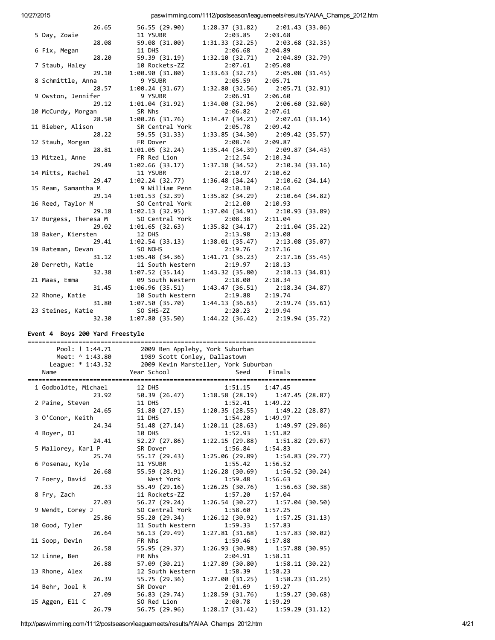|                       | 26.65 | 56.55 (29.90)    | $1:28.37(31.82)$ $2:01.43(33.06)$ |                 |  |
|-----------------------|-------|------------------|-----------------------------------|-----------------|--|
| 5 Day, Zowie          |       | 11 YSUBR         | 2:03.85                           | 2:03.68         |  |
|                       | 28.08 | 59.08 (31.00)    | 1:31.33(32.25)                    | 2:03.68 (32.35) |  |
| 6 Fix, Megan          |       | 11 DHS           | 2:06.68                           | 2:04.89         |  |
|                       | 28.20 | 59.39 (31.19)    | 1:32.10(32.71)                    | 2:04.89 (32.79) |  |
| 7 Staub, Haley        |       | 10 Rockets-ZZ    | 2:07.61                           | 2:05.08         |  |
|                       | 29.10 | 1:00.90(31.80)   | 1:33.63(32.73)                    | 2:05.08 (31.45) |  |
| 8 Schmittle, Anna     |       | 9 YSUBR          | 2:05.59                           | 2:05.71         |  |
|                       | 28.57 | 1:00.24(31.67)   | 1:32.80(32.56)                    | 2:05.71 (32.91) |  |
| 9 Owston, Jennifer    |       | 9 YSUBR          | 2:06.91                           | 2:06.60         |  |
|                       | 29.12 | 1:01.04(31.92)   | 1:34.00(32.96)                    | 2:06.60 (32.60) |  |
| 10 McCurdy, Morgan    |       | SR Nhs           | 2:06.82                           | 2:07.61         |  |
|                       | 28.50 | 1:00.26(31.76)   | 1:34.47 (34.21)                   | 2:07.61 (33.14) |  |
| 11 Bieber, Alison     |       | SR Central York  | 2:05.78                           | 2:09.42         |  |
|                       | 28.22 | 59.55 (31.33)    | $1:33.85(34.30)$ $2:09.42(35.57)$ |                 |  |
| 12 Staub, Morgan      |       | FR Dover         | 2:08.74                           | 2:09.87         |  |
|                       | 28.81 | 1:01.05(32.24)   | 1:35.44(34.39)                    | 2:09.87 (34.43) |  |
| 13 Mitzel, Anne       |       | FR Red Lion      | 2:12.54                           | 2:10.34         |  |
|                       | 29.49 | 1:02.66(33.17)   | 1:37.18(34.52)                    | 2:10.34 (33.16) |  |
| 14 Mitts, Rachel      |       | 11 YSUBR         | 2:10.97                           | 2:10.62         |  |
|                       | 29.47 | 1:02.24(32.77)   | 1:36.48(34.24)                    | 2:10.62 (34.14) |  |
| 15 Ream, Samantha M   |       | 9 William Penn   | 2:10.10                           | 2:10.64         |  |
|                       | 29.14 | 1:01.53(32.39)   | 1:35.82(34.29)                    | 2:10.64 (34.82) |  |
| 16 Reed, Taylor M     |       | SO Central York  | 2:12.00                           | 2:10.93         |  |
|                       | 29.18 | 1:02.13(32.95)   | 1:37.04 (34.91)                   | 2:10.93 (33.89) |  |
| 17 Burgess, Theresa M |       | SO Central York  | 2:08.38                           | 2:11.04         |  |
|                       | 29.02 | 1:01.65(32.63)   | 1:35.82(34.17)                    | 2:11.04(35.22)  |  |
| 18 Baker, Kiersten    |       | 12 DHS           | 2:13.98                           | 2:13.08         |  |
|                       | 29.41 | 1:02.54(33.13)   | 1:38.01(35.47)                    | 2:13.08 (35.07) |  |
| 19 Bateman, Devan     |       | SO NOHS          | 2:19.76                           | 2:17.16         |  |
|                       | 31.12 | 1:05.48(34.36)   | 1:41.71(36.23)                    | 2:17.16 (35.45) |  |
| 20 Derreth, Katie     |       | 11 South Western | 2:19.97                           | 2:18.13         |  |
|                       | 32.38 | 1:07.52(35.14)   | 1:43.32 (35.80)                   | 2:18.13 (34.81) |  |
| 21 Maas, Emma         |       | 09 South Western | 2:18.00                           | 2:18.34         |  |
|                       | 31.45 | 1:06.96(35.51)   | 1:43.47 (36.51)                   | 2:18.34 (34.87) |  |
| 22 Rhone, Katie       |       | 10 South Western | 2:19.88                           | 2:19.74         |  |
|                       | 31.80 | 1:07.50(35.70)   | $1:44.13(36.63)$ $2:19.74(35.61)$ |                 |  |
| 23 Steines, Katie     |       | SO SHS-ZZ        | 2:20.23                           | 2:19.94         |  |
|                       | 32.30 | 1:07.80(35.50)   | 1:44.22(36.42)                    | 2:19.94 (35.72) |  |

# Event 4 Boys 200 Yard Freestyle

| ================================ |                   |                                      |                     |                                              |  |  |
|----------------------------------|-------------------|--------------------------------------|---------------------|----------------------------------------------|--|--|
|                                  | Pool: ! 1:44.71   | 2009 Ben Appleby, York Suburban      |                     |                                              |  |  |
|                                  | Meet: ^ 1:43.80   | 1989 Scott Conley, Dallastown        |                     |                                              |  |  |
|                                  | League: * 1:43.32 | 2009 Kevin Marsteller, York Suburban |                     |                                              |  |  |
| Name                             |                   | Year School                          | Seed                | Finals                                       |  |  |
| ===============================  |                   | ===========================          |                     | ====================                         |  |  |
| 1 Godboldte, Michael             |                   | 12 DHS                               | 1:51.15             | 1:47.45                                      |  |  |
|                                  | 23.92             | 50.39 (26.47)                        |                     | $1:18.58(28.19)$ $1:47.45(28.87)$            |  |  |
| 2 Paine, Steven                  |                   | 11 DHS                               | $1:52.41$ $1:49.22$ |                                              |  |  |
|                                  | 24.65             | 51.80 (27.15)                        | 1:20.35(28.55)      | 1:49.22(28.87)                               |  |  |
| 3 O'Conor, Keith                 |                   | 11 DHS                               | 1:54.20             | 1:49.97                                      |  |  |
|                                  | 24.34             | 51.48 (27.14)                        |                     | $1:20.11(28.63)$ $1:49.97(29.86)$            |  |  |
| 4 Boyer, DJ                      |                   | 10 DHS                               | 1:52.93             | 1:51.82                                      |  |  |
|                                  | 24.41             | 52.27 (27.86)                        |                     | 1:22.15(29.88) 1:51.82(29.67)                |  |  |
| 5 Mallorey, Karl P               |                   | SR Dover                             | 1:56.84             | 1:54.83                                      |  |  |
|                                  | 25.74             | 55.17 (29.43)                        | 1:25.06(29.89)      | 1:54.83 (29.77)                              |  |  |
| 6 Posenau, Kyle                  |                   | 11 YSUBR                             | 1:55.42             | 1:56.52                                      |  |  |
|                                  | 26.68             | 55.59 (28.91)                        |                     | $1:26.28(30.69)$ $1:56.52(30.24)$            |  |  |
| 7 Foery, David                   |                   | West York                            | 1:59.48             | 1:56.63                                      |  |  |
|                                  | 26.33             | 55.49 (29.16)                        | 1:26.25(30.76)      | 1:56.63(30.38)                               |  |  |
| 8 Fry, Zach                      |                   | 11 Rockets-ZZ                        | 1:57.20             | 1:57.04                                      |  |  |
|                                  | 27.03             | 56.27 (29.24)                        | 1:26.54(30.27)      | 1:57.04(30.50)                               |  |  |
| 9 Wendt, Corey J                 |                   | SO Central York                      | 1:58.60             | 1:57.25                                      |  |  |
|                                  | 25.86             | 55.20 (29.34)                        | 1:26.12(30.92)      | 1:57.25(31.13)                               |  |  |
| 10 Good, Tyler                   |                   | 11 South Western                     | 1:59.33             | 1:57.83                                      |  |  |
|                                  | 26.64             | 56.13 (29.49)                        | 1:27.81(31.68)      | 1:57.83 (30.02)                              |  |  |
| 11 Soop, Devin                   |                   | FR Nhs                               | 1:59.46             | 1:57.88                                      |  |  |
|                                  | 26.58             | 55.95 (29.37)                        | 1:26.93(30.98)      | 1:57.88(30.95)                               |  |  |
| 12 Linne, Ben                    |                   | FR Nhs                               | 2:04.91             | 1:58.11                                      |  |  |
|                                  | 26.88             | 57.09 (30.21)                        | 1:27.89(30.80)      | 1:58.11(30.22)                               |  |  |
|                                  |                   | 12 South Western                     | 1:58.39             | 1:58.23                                      |  |  |
| 13 Rhone, Alex                   | 26.39             |                                      | 1:27.00(31.25)      |                                              |  |  |
|                                  |                   | 55.75 (29.36)                        |                     | 1:58.23(31.23)                               |  |  |
| 14 Behr, Joel R                  |                   | SR Dover<br>56.83 (29.74)            | 2:01.69             | 1:59.27<br>$1:28.59(31.76)$ $1:59.27(30.68)$ |  |  |
|                                  | 27.09             |                                      |                     |                                              |  |  |
| 15 Aggen, Eli C                  |                   | SO Red Lion                          | 2:00.78             | 1:59.29                                      |  |  |
|                                  | 26.79             | 56.75 (29.96)                        | 1:28.17(31.42)      | 1:59.29(31.12)                               |  |  |

http://paswimming.com/1112/postseason/leaguemeets/results/YAIAA\_Champs\_2012.htm 4/21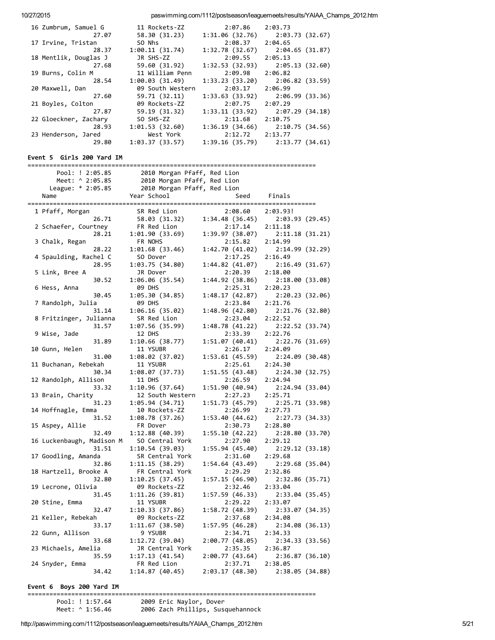| 16 Zumbrum, Samuel G  | 11 Rockets-ZZ    | 2:07.86        | 2:03.73                           |
|-----------------------|------------------|----------------|-----------------------------------|
| 27.07                 | 58.30 (31.23)    | 1:31.06(32.76) | 2:03.73 (32.67)                   |
| 17 Irvine, Tristan    | SO Nhs           | 2:08.37        | 2:04.65                           |
| 28.37                 | 1:00.11(31.74)   | 1:32.78(32.67) | 2:04.65 (31.87)                   |
| 18 Mentlik, Douglas J | JR SHS-ZZ        | 2:09.55        | 2:05.13                           |
| 27.68                 | 59.60 (31.92)    | 1:32.53(32.93) | 2:05.13 (32.60)                   |
| 19 Burns, Colin M     | 11 William Penn  | 2:09.98        | 2:06.82                           |
| 28.54                 | 1:00.03(31.49)   | 1:33.23(33.20) | 2:06.82 (33.59)                   |
| 20 Maxwell, Dan       | 09 South Western | 2:03.17        | 2:06.99                           |
| 27.60                 | 59.71 (32.11)    | 1:33.63(33.92) | 2:06.99 (33.36)                   |
| 21 Boyles, Colton     | 09 Rockets-ZZ    | 2:07.75        | 2:07.29                           |
| 27.87                 | 59.19 (31.32)    | 1:33.11(33.92) | 2:07.29 (34.18)                   |
| 22 Gloeckner, Zachary | SO SHS-ZZ        | 2:11.68        | 2:10.75                           |
| 28.93                 | 1:01.53(32.60)   |                | $1:36.19(34.66)$ $2:10.75(34.56)$ |
| 23 Henderson, Jared   | West York        | 2:12.72        | 2:13.77                           |
| 29.80                 | 1:03.37(33.57)   |                | $1:39.16(35.79)$ $2:13.77(34.61)$ |

#### Event 5 Girls 200 Yard IM

| :=================================<br>=============== |                           |                             |                 |                 |  |  |  |
|-------------------------------------------------------|---------------------------|-----------------------------|-----------------|-----------------|--|--|--|
|                                                       | Pool: ! 2:05.85           | 2010 Morgan Pfaff, Red Lion |                 |                 |  |  |  |
|                                                       | Meet: ^ 2:05.85           | 2010 Morgan Pfaff, Red Lion |                 |                 |  |  |  |
|                                                       | League: * 2:05.85         | 2010 Morgan Pfaff, Red Lion |                 |                 |  |  |  |
|                                                       | Name                      | Year School                 | Seed            | Finals          |  |  |  |
|                                                       | 1 Pfaff, Morgan           | SR Red Lion                 | 2:08.60         | 2:03.93!        |  |  |  |
|                                                       | 26.71                     |                             |                 |                 |  |  |  |
|                                                       |                           | 58.03 (31.32)               | 1:34.48(36.45)  | 2:03.93(29.45)  |  |  |  |
|                                                       | 2 Schaefer, Courtney      | FR Red Lion                 | 2:17.14         | 2:11.18         |  |  |  |
|                                                       | 28.21                     | 1:01.90 (33.69)             | 1:39.97(38.07)  | 2:11.18 (31.21) |  |  |  |
|                                                       | 3 Chalk, Regan            | FR NOHS                     | 2:15.82         | 2:14.99         |  |  |  |
|                                                       | 28.22                     | 1:01.68(33.46)              | 1:42.70(41.02)  | 2:14.99(32.29)  |  |  |  |
|                                                       | 4 Spaulding, Rachel C     | SO Dover                    | 2:17.25         | 2:16.49         |  |  |  |
|                                                       | 28.95                     | 1:03.75 (34.80)             | 1:44.82 (41.07) | 2:16.49(31.67)  |  |  |  |
|                                                       | 5 Link, Bree A            | JR Dover                    | 2:20.39         | 2:18.00         |  |  |  |
|                                                       | 30.52                     | 1:06.06 (35.54)             | 1:44.92 (38.86) | 2:18.00(33.08)  |  |  |  |
|                                                       | 6 Hess, Anna              | <b>09 DHS</b>               | 2:25.31         | 2:20.23         |  |  |  |
|                                                       | 30.45                     | 1:05.30 (34.85)             | 1:48.17 (42.87) | 2:20.23(32.06)  |  |  |  |
|                                                       | 7 Randolph, Julia         | <b>09 DHS</b>               | 2:23.84         | 2:21.76         |  |  |  |
|                                                       | 31.14                     | 1:06.16 (35.02)             | 1:48.96 (42.80) | 2:21.76 (32.80) |  |  |  |
|                                                       | 8 Fritzinger, Julianna    | SR Red Lion                 | 2:23.04         | 2:22.52         |  |  |  |
|                                                       | 31.57                     | 1:07.56 (35.99)             | 1:48.78 (41.22) | 2:22.52(33.74)  |  |  |  |
|                                                       | 9 Wise, Jade              | 12 DHS                      | 2:33.39         | 2:22.76         |  |  |  |
|                                                       | 31.89                     | 1:10.66(38.77)              | 1:51.07 (40.41) | 2:22.76 (31.69) |  |  |  |
|                                                       | 10 Gunn, Helen            | 11 YSUBR                    | 2:26.17         | 2:24.09         |  |  |  |
|                                                       | 31.00                     | 1:08.02 (37.02)             | 1:53.61(45.59)  | 2:24.09 (30.48) |  |  |  |
|                                                       | 11 Buchanan, Rebekah      | 11 YSUBR                    | 2:25.61         | 2:24.30         |  |  |  |
|                                                       | 30.34                     | 1:08.07 (37.73)             | 1:51.55(43.48)  | 2:24.30 (32.75) |  |  |  |
|                                                       | 12 Randolph, Allison      | 11 DHS                      | 2:26.59         | 2:24.94         |  |  |  |
|                                                       | 33.32                     | 1:10.96(37.64)              | 1:51.90(40.94)  |                 |  |  |  |
|                                                       |                           |                             |                 | 2:24.94(33.04)  |  |  |  |
|                                                       | 13 Brain, Charity         | 12 South Western            | 2:27.23         | 2:25.71         |  |  |  |
|                                                       | 31.23                     | 1:05.94 (34.71)             | 1:51.73(45.79)  | 2:25.71 (33.98) |  |  |  |
|                                                       | 14 Hoffnagle, Emma        | 10 Rockets-ZZ               | 2:26.99         | 2:27.73         |  |  |  |
|                                                       | 31.52                     | 1:08.78 (37.26)             | 1:53.40 (44.62) | 2:27.73(34.33)  |  |  |  |
|                                                       | 15 Aspey, Allie           | FR Dover                    | 2:30.73         | 2:28.80         |  |  |  |
|                                                       | 32.49                     | 1:12.88 (40.39)             | 1:55.10 (42.22) | 2:28.80 (33.70) |  |  |  |
|                                                       | 16 Luckenbaugh, Madison M | SO Central York             | 2:27.90         | 2:29.12         |  |  |  |
|                                                       | 31.51                     | 1:10.54 (39.03)             | 1:55.94 (45.40) | 2:29.12(33.18)  |  |  |  |
|                                                       | 17 Goodling, Amanda       | SR Central York             | 2:31.60         | 2:29.68         |  |  |  |
|                                                       | 32.86                     | 1:11.15(38.29)              | 1:54.64(43.49)  | 2:29.68 (35.04) |  |  |  |
|                                                       | 18 Hartzell, Brooke A     | FR Central York             | 2:29.29         | 2:32.86         |  |  |  |
|                                                       | 32.80                     | 1:10.25(37.45)              | 1:57.15 (46.90) | 2:32.86(35.71)  |  |  |  |
|                                                       | 19 Lecrone, Olivia        | 09 Rockets-ZZ               | 2:32.46         | 2:33.04         |  |  |  |
|                                                       | 31.45                     | 1:11.26 (39.81)             | 1:57.59(46.33)  | 2:33.04 (35.45) |  |  |  |
|                                                       | 20 Stine, Emma            | 11 YSUBR                    | 2:29.22         | 2:33.07         |  |  |  |
|                                                       | 32.47                     | 1:10.33 (37.86)             | 1:58.72 (48.39) | 2:33.07 (34.35) |  |  |  |
|                                                       | 21 Keller, Rebekah        | 09 Rockets-ZZ               | 2:37.68         | 2:34.08         |  |  |  |
|                                                       | 33.17                     | 1:11.67 (38.50)             | 1:57.95(46.28)  | 2:34.08 (36.13) |  |  |  |
|                                                       | 22 Gunn, Allison          | 9 YSUBR                     | 2:34.71         | 2:34.33         |  |  |  |
|                                                       | 33.68                     | 1:12.72 (39.04)             | 2:00.77(48.05)  | 2:34.33(33.56)  |  |  |  |
|                                                       | 23 Michaels, Amelia       | JR Central York             | 2:35.35         | 2:36.87         |  |  |  |
|                                                       | 35.59                     | 1:17.13(41.54)              | 2:00.77(43.64)  | 2:36.87 (36.10) |  |  |  |
|                                                       | 24 Snyder, Emma           | FR Red Lion                 | 2:37.71         | 2:38.05         |  |  |  |
|                                                       | 34.42                     |                             |                 |                 |  |  |  |
|                                                       |                           | 1:14.87 (40.45)             | 2:03.17 (48.30) | 2:38.05(34.88)  |  |  |  |

Event 6 Boys 200 Yard IM

=============================================================================== Pool: ! 1:57.64 2009 Eric Naylor, Dover

2006 Zach Phillips, Susquehannock

http://paswimming.com/1112/postseason/leaguemeets/results/YAIAA\_Champs\_2012.htm 5/21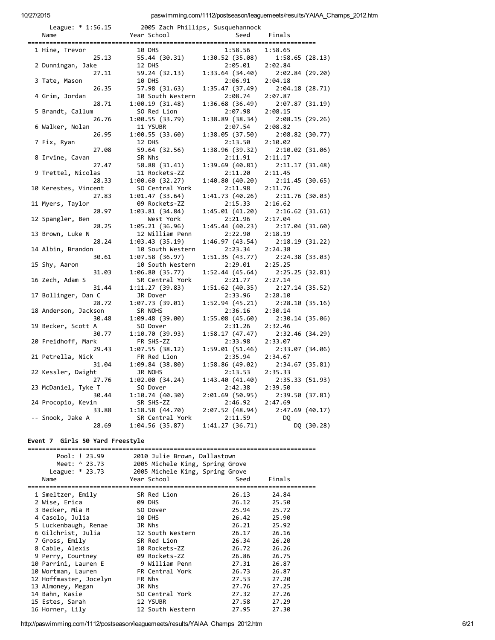| League: $* 1:56.15$  |                  | 2005 Zach Phillips, Susquehannock |                 |
|----------------------|------------------|-----------------------------------|-----------------|
| Name                 | Year School      | Seed                              | Finals          |
|                      |                  |                                   |                 |
| 1 Hine, Trevor       | 10 DHS           | 1:58.56                           | 1:58.65         |
| 25.13                | 55.44 (30.31)    | 1:30.52(35.08)                    | 1:58.65(28.13)  |
| 2 Dunningan, Jake    | 12 DHS           | 2:05.01                           | 2:02.84         |
| 27.11                | 59.24 (32.13)    | 1:33.64 (34.40)                   | 2:02.84 (29.20) |
| 3 Tate, Mason        | 10 DHS           | 2:06.91                           | 2:04.18         |
| 26.35                | 57.98 (31.63)    | 1:35.47 (37.49)                   | 2:04.18(28.71)  |
| 4 Grim, Jordan       | 10 South Western | 2:08.74                           | 2:07.87         |
| 28.71                | 1:00.19(31.48)   | 1:36.68(36.49)                    | 2:07.87 (31.19) |
| 5 Brandt, Callum     | SO Red Lion      | 2:07.98                           | 2:08.15         |
| 26.76                | 1:00.55(33.79)   | 1:38.89(38.34)                    | 2:08.15(29.26)  |
| 6 Walker, Nolan      | 11 YSUBR         | 2:07.54                           | 2:08.82         |
| 26.95                | 1:00.55(33.60)   | 1:38.05 (37.50)                   | 2:08.82 (30.77) |
| 7 Fix, Ryan          | 12 DHS           | 2:13.50                           | 2:10.02         |
| 27.08                | 59.64 (32.56)    | 1:38.96 (39.32)                   | 2:10.02(31.06)  |
| 8 Irvine, Cavan      | SR Nhs           | 2:11.91                           | 2:11.17         |
| 27.47                | 58.88 (31.41)    | 1:39.69 (40.81)                   | 2:11.17(31.48)  |
| 9 Trettel, Nicolas   | 11 Rockets-ZZ    | 2:11.20                           | 2:11.45         |
| 28.33                | 1:00.60(32.27)   | 1:40.80 (40.20)                   | 2:11.45 (30.65) |
|                      |                  | 2:11.98                           | 2:11.76         |
| 10 Kerestes, Vincent | SO Central York  |                                   |                 |
| 27.83                | 1:01.47 (33.64)  | 1:41.73 (40.26)                   | 2:11.76(30.03)  |
| 11 Myers, Taylor     | 09 Rockets-ZZ    | 2:15.33                           | 2:16.62         |
| 28.97                | 1:03.81(34.84)   | 1:45.01 (41.20)                   | 2:16.62(31.61)  |
| 12 Spangler, Ben     | West York        | 2:21.96                           | 2:17.04         |
| 28.25                | 1:05.21(36.96)   | 1:45.44 (40.23)                   | 2:17.04(31.60)  |
| 13 Brown, Luke N     | 12 William Penn  | 2:22.90                           | 2:18.19         |
| 28.24                | 1:03.43(35.19)   | 1:46.97 (43.54)                   | 2:18.19(31.22)  |
| 14 Albin, Brandon    | 10 South Western | 2:23.34                           | 2:24.38         |
| 30.61                | 1:07.58(36.97)   | 1:51.35(43.77)                    | 2:24.38(33.03)  |
| 15 Shy, Aaron        | 10 South Western | 2:29.01                           | 2:25.25         |
| 31.03                | 1:06.80(35.77)   | 1:52.44(45.64)                    | 2:25.25(32.81)  |
| 16 Zech, Adam S      | SR Central York  | 2:21.77                           | 2:27.14         |
| 31.44                | 1:11.27(39.83)   | 1:51.62 (40.35)                   | 2:27.14(35.52)  |
| 17 Bollinger, Dan C  | JR Dover         | 2:33.96                           | 2:28.10         |
| 28.72                | 1:07.73(39.01)   | 1:52.94 (45.21)                   | 2:28.10 (35.16) |
| 18 Anderson, Jackson | SR NOHS          | 2:36.16                           | 2:30.14         |
| 30.48                | 1:09.48 (39.00)  | 1:55.08 (45.60)                   | 2:30.14(35.06)  |
| 19 Becker, Scott A   | SO Dover         | 2:31.26                           | 2:32.46         |
| 30.77                | 1:10.70(39.93)   | 1:58.17(47.47)                    | 2:32.46(34.29)  |
| 20 Freidhoff, Mark   | FR SHS-ZZ        | 2:33.98                           | 2:33.07         |
| 29.43                | 1:07.55(38.12)   | 1:59.01(51.46)                    | 2:33.07 (34.06) |
| 21 Petrella, Nick    | FR Red Lion      | 2:35.94                           | 2:34.67         |
| 31.04                | 1:09.84(38.80)   | 1:58.86(49.02)                    | 2:34.67 (35.81) |
| 22 Kessler, Dwight   | JR NOHS          | 2:13.53                           | 2:35.33         |
| 27.76                | 1:02.00(34.24)   | 1:43.40(41.40)                    | 2:35.33(51.93)  |
| 23 McDaniel, Tyke T  | SO Dover         | 2:42.38                           | 2:39.50         |
| 30.44                | 1:10.74(40.30)   | 2:01.69 (50.95)                   | 2:39.50(37.81)  |
| 24 Procopio, Kevin   | SR SHS-ZZ        | 2:46.92                           | 2:47.69         |
| 33.88                | 1:18.58(44.70)   | 2:07.52(48.94)                    | 2:47.69 (40.17) |
| -- Snook, Jake A     | SR Central York  | 2:11.59                           | DQ              |
| 28.69                | 1:04.56(35.87)   | 1:41.27 (36.71)                   | DQ (30.28)      |
|                      |                  |                                   |                 |

# Event 7 Girls 50 Yard Freestyle

| Pool: ! 23.99<br>2010 Julie Brown, Dallastown    |                                 |       |        |  |  |
|--------------------------------------------------|---------------------------------|-------|--------|--|--|
| 2005 Michele King, Spring Grove<br>Meet: ^ 23.73 |                                 |       |        |  |  |
| League: $*$ 23.73                                | 2005 Michele King, Spring Grove |       |        |  |  |
| Name                                             | Year School                     | Seed  | Finals |  |  |
| 1 Smeltzer, Emily                                | SR Red Lion                     | 26.13 | 24.84  |  |  |
| 2 Wise, Erica                                    | <b>09 DHS</b>                   | 26.12 | 25.50  |  |  |
| 3 Becker, Mia R                                  | SO Dover                        | 25.94 | 25.72  |  |  |
| 4 Casolo, Julia                                  | 10 DHS                          | 26.42 | 25.90  |  |  |
| 5 Luckenbaugh, Renae                             | JR Nhs                          | 26.21 | 25.92  |  |  |
| 6 Gilchrist, Julia                               | 12 South Western                | 26.17 | 26.16  |  |  |
| 7 Gross, Emily                                   | SR Red Lion                     | 26.34 | 26.20  |  |  |
| 8 Cable, Alexis                                  | 10 Rockets-ZZ                   | 26.72 | 26.26  |  |  |
| 9 Perry, Courtney                                | 09 Rockets-ZZ                   | 26.86 | 26.75  |  |  |
| 10 Parrini, Lauren E                             | 9 William Penn                  | 27.31 | 26.87  |  |  |
| 10 Wortman, Lauren                               | FR Central York                 | 26.73 | 26.87  |  |  |
| 12 Hoffmaster, Jocelyn                           | FR Nhs                          | 27.53 | 27.20  |  |  |
| 13 Almoney, Megan                                | JR Nhs                          | 27.76 | 27.25  |  |  |
| 14 Bahn, Kasie                                   | SO Central York                 | 27.32 | 27.26  |  |  |
| 15 Estes, Sarah                                  | 12 YSUBR                        | 27.58 | 27.29  |  |  |
| 16 Horner, Lily                                  | 12 South Western                | 27.95 | 27.30  |  |  |

http://paswimming.com/1112/postseason/leaguemeets/results/YAIAA\_Champs\_2012.htm 6/21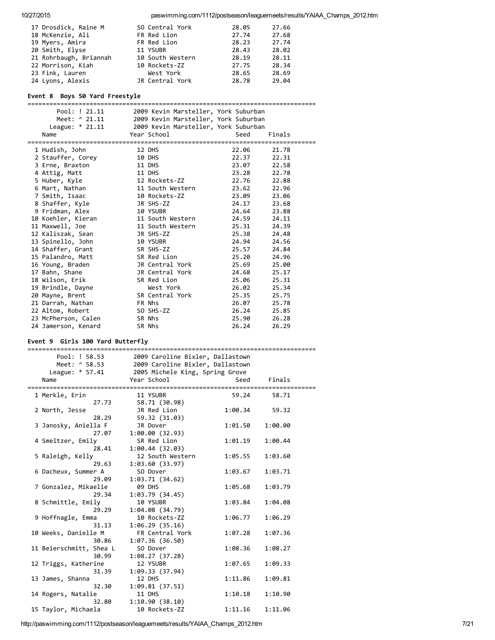| 17 Drosdick, Raine M   | SO Central York  | 28.05 | 27.66 |
|------------------------|------------------|-------|-------|
| 18 McKenzie, Ali       | FR Red Lion      | 27.74 | 27.68 |
| 19 Myers, Amira        | FR Red Lion      | 28.23 | 27.74 |
| 20 Smith, Elyse        | 11 YSUBR         | 28.43 | 28.02 |
| 21 Rohrbaugh, Briannah | 10 South Western | 28.19 | 28.11 |
| 22 Morrison, Kiah      | 10 Rockets-ZZ    | 27.75 | 28.34 |
| 23 Fink, Lauren        | West York        | 28.65 | 28.69 |
| 24 Lyons, Alexis       | JR Central York  | 28.78 | 29.04 |

### Event 8 Boys 50 Yard Freestyle

| Pool: ! 21.11       | 2009 Kevin Marsteller, York Suburban |       |        |
|---------------------|--------------------------------------|-------|--------|
| Meet: ^ 21.11       | 2009 Kevin Marsteller, York Suburban |       |        |
| League: $*$ 21.11   | 2009 Kevin Marsteller, York Suburban |       |        |
| Name                | Year School                          | Seed  | Finals |
|                     |                                      |       |        |
| 1 Hudish, John      | 12 DHS                               | 22.06 | 21.78  |
| 2 Stauffer, Corey   | 10 DHS                               | 22.37 | 22.31  |
| 3 Erne, Braxton     | 11 DHS                               | 23.07 | 22.58  |
| 4 Attig, Matt       | 11 DHS                               | 23.28 | 22.78  |
| 5 Huber, Kyle       | 12 Rockets-ZZ                        | 22.76 | 22.88  |
| 6 Mart, Nathan      | 11 South Western                     | 23.62 | 22.96  |
| 7 Smith, Isaac      | 10 Rockets-ZZ                        | 23.09 | 23.06  |
| 8 Shaffer, Kyle     | JR SHS-ZZ                            | 24.17 | 23.68  |
| 9 Fridman, Alex     | 10 YSUBR                             | 24.64 | 23.88  |
| 10 Koehler, Kieran  | 11 South Western                     | 24.59 | 24.11  |
| 11 Maxwell, Joe     | 11 South Western                     | 25.31 | 24.39  |
| 12 Kaliszak, Sean   | JR SHS-ZZ                            | 25.38 | 24.48  |
| 13 Spinello, John   | 10 YSUBR                             | 24.94 | 24.56  |
| 14 Shaffer, Grant   | SR SHS-ZZ                            | 25.57 | 24.84  |
| 15 Palandro, Matt   | SR Red Lion                          | 25.20 | 24.96  |
| 16 Young, Braden    | JR Central York                      | 25.69 | 25.00  |
| 17 Bahn, Shane      | JR Central York                      | 24.68 | 25.17  |
| 18 Wilson, Erik     | SR Red Lion                          | 25.06 | 25.31  |
| 19 Brindle, Dayne   | West York                            | 26.02 | 25.34  |
| 20 Mayne, Brent     | SR Central York                      | 25.35 | 25.75  |
| 21 Darrah, Nathan   | FR Nhs                               | 26.07 | 25.78  |
| 22 Altom, Robert    | SO SHS-ZZ                            | 26.24 | 25.85  |
| 23 McPherson, Calen | SR Nhs                               | 25.90 | 26.28  |
| 24 Jamerson, Kenard | SR Nhs                               | 26.24 | 26.29  |

### Event 9 Girls 100 Yard Butterfly

| Pool: ! 58.53           | 2009 Caroline Bixler, Dallastown                |         |         |
|-------------------------|-------------------------------------------------|---------|---------|
| Meet: ^ 58.53           | 2009 Caroline Bixler, Dallastown                |         |         |
|                         | League: * 57.41 2005 Michele King, Spring Grove |         |         |
| Name                    | Year School                                     | Seed    | Finals  |
|                         |                                                 |         |         |
| 1 Merkle, Erin          | 11 YSUBR                                        | 59.24   | 58.71   |
| 27.73                   | 58.71 (30.98)                                   |         |         |
| 2 North, Jesse          | JR Red Lion                                     | 1:00.34 | 59.32   |
| 28.29                   | 59.32 (31.03)                                   |         |         |
| 3 Janosky, Aniella F    | JR Dover                                        | 1:01.50 | 1:00.00 |
| 27.07                   | 1:00.00(32.93)                                  |         |         |
| 4 Smeltzer, Emily       | SR Red Lion                                     | 1:01.19 | 1:00.44 |
| 28.41                   | 1:00.44(32.03)                                  |         |         |
| 5 Raleigh, Kelly        | 12 South Western                                | 1:05.55 | 1:03.60 |
| 29.63                   | 1:03.60(33.97)                                  |         |         |
| 6 Dacheux, Summer A     | SO Dover                                        | 1:03.67 | 1:03.71 |
| 29.09                   | 1:03.71(34.62)                                  |         |         |
| 7 Gonzalez, Mikaelie    | <b>09 DHS</b>                                   | 1:05.68 | 1:03.79 |
| 29.34                   | 1:03.79(34.45)                                  |         |         |
| 8 Schmittle, Emily      | 10 YSUBR                                        | 1:03.84 | 1:04.08 |
| 29.29                   | 1:04.08(34.79)                                  |         |         |
| 9 Hoffnagle, Emma       | 10 Rockets-ZZ                                   | 1:06.77 | 1:06.29 |
| 31.13                   |                                                 |         |         |
|                         | 1:06.29(35.16)                                  |         |         |
| 10 Weeks, Danielle M    | FR Central York                                 | 1:07.28 | 1:07.36 |
| 30.86                   | 1:07.36(36.50)                                  |         |         |
| 11 Beierschmitt, Shea L | SO Dover                                        | 1:08.36 | 1:08.27 |
| 30.99                   | 1:08.27(37.28)                                  |         |         |
| 12 Triggs, Katherine    | 12 YSUBR                                        | 1:07.65 | 1:09.33 |
| 31.39                   | 1:09.33(37.94)                                  |         |         |
| 13 James, Shanna        | 12 DHS                                          | 1:11.86 | 1:09.81 |
| 32.30                   | 1:09.81(37.51)                                  |         |         |
| 14 Rogers, Natalie      | 11 DHS                                          | 1:10.18 | 1:10.90 |
| 32.80                   | 1:10.90(38.10)                                  |         |         |
| 15 Taylor, Michaela     | 10 Rockets-ZZ                                   | 1:11.16 | 1:11.06 |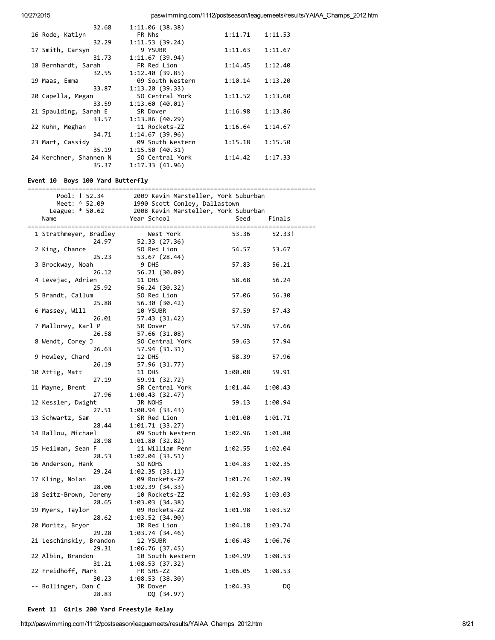|                        | 32.68 | 1:11.06(38.38)   |         |         |
|------------------------|-------|------------------|---------|---------|
| 16 Rode, Katlyn        |       | FR Nhs           | 1:11.71 | 1:11.53 |
|                        | 32.29 | 1:11.53(39.24)   |         |         |
| 17 Smith, Carsyn       |       | 9 YSUBR          | 1:11.63 | 1:11.67 |
|                        | 31.73 | 1:11.67(39.94)   |         |         |
| 18 Bernhardt, Sarah    |       | FR Red Lion      | 1:14.45 | 1:12.40 |
|                        | 32.55 | 1:12.40(39.85)   |         |         |
| 19 Maas, Emma          |       | 09 South Western | 1:10.14 | 1:13.20 |
|                        | 33.87 | 1:13.20(39.33)   |         |         |
| 20 Capella, Megan      |       | SO Central York  | 1:11.52 | 1:13.60 |
|                        | 33.59 | 1:13.60(40.01)   |         |         |
| 21 Spaulding, Sarah E  |       | SR Dover         | 1:16.98 | 1:13.86 |
|                        | 33.57 | 1:13.86(40.29)   |         |         |
| 22 Kuhn, Meghan        |       | 11 Rockets-ZZ    | 1:16.64 | 1:14.67 |
|                        | 34.71 | 1:14.67(39.96)   |         |         |
| 23 Mart, Cassidy       |       | 09 South Western | 1:15.18 | 1:15.50 |
|                        | 35.19 | 1:15.50(40.31)   |         |         |
| 24 Kerchner, Shannen N |       | SO Central York  | 1:14.42 | 1:17.33 |
|                        | 35.37 | 1:17.33(41.96)   |         |         |
|                        |       |                  |         |         |

## Event 10 Boys 100 Yard Butterfly

| Pool: ! 52.34           | 2009 Kevin Marsteller, York Suburban |         |         |
|-------------------------|--------------------------------------|---------|---------|
| Meet: ^ 52.09           | 1990 Scott Conley, Dallastown        |         |         |
| League: $* 50.62$       | 2008 Kevin Marsteller, York Suburban |         |         |
| Name                    | Year School                          | Seed    | Finals  |
|                         |                                      |         |         |
| 1 Strathmeyer, Bradley  | West York                            | 53.36   | 52.33!  |
| 24.97                   | 52.33 (27.36)                        |         |         |
| 2 King, Chance          | SO Red Lion                          | 54.57   | 53.67   |
| 25.23                   | 53.67 (28.44)                        |         |         |
| 3 Brockway, Noah        | 9 DHS                                | 57.83   | 56.21   |
| 26.12                   | 56.21 (30.09)                        |         |         |
| 4 Levejac, Adrien       | 11 DHS                               | 58.68   | 56.24   |
| 25.92                   | 56.24 (30.32)                        |         |         |
| 5 Brandt, Callum        |                                      |         |         |
|                         | SO Red Lion                          | 57.06   | 56.30   |
| 25.88                   | 56.30 (30.42)                        |         |         |
| 6 Massey, Will          | 10 YSUBR                             | 57.59   | 57.43   |
| 26.01                   | 57.43 (31.42)                        |         |         |
| 7 Mallorey, Karl P      | SR Dover                             | 57.96   | 57.66   |
| 26.58                   | 57.66 (31.08)                        |         |         |
| 8 Wendt, Corey J        | SO Central York                      | 59.63   | 57.94   |
| 26.63                   | 57.94 (31.31)                        |         |         |
| 9 Howley, Chard         | 12 DHS                               | 58.39   | 57.96   |
| 26.19                   | 57.96 (31.77)                        |         |         |
| 10 Attig, Matt          | 11 DHS                               | 1:00.08 | 59.91   |
| 27.19                   | 59.91 (32.72)                        |         |         |
| 11 Mayne, Brent         | SR Central York                      | 1:01.44 | 1:00.43 |
| 27.96                   | 1:00.43(32.47)                       |         |         |
| 12 Kessler, Dwight      | JR NOHS                              | 59.13   | 1:00.94 |
| 27.51                   | 1:00.94(33.43)                       |         |         |
| 13 Schwartz, Sam        | SR Red Lion                          | 1:01.00 | 1:01.71 |
| 28.44                   | 1:01.71(33.27)                       |         |         |
| 14 Ballou, Michael      | 09 South Western                     | 1:02.96 | 1:01.80 |
| 28.98                   | 1:01.80(32.82)                       |         |         |
| 15 Heilman, Sean F      | 11 William Penn                      | 1:02.55 | 1:02.04 |
| 28.53                   |                                      |         |         |
|                         | 1:02.04 (33.51)                      |         |         |
| 16 Anderson, Hank       | SO NOHS                              | 1:04.83 | 1:02.35 |
| 29.24                   | 1:02.35(33.11)                       |         |         |
| 17 Kling, Nolan         | 09 Rockets-ZZ                        | 1:01.74 | 1:02.39 |
| 28.06                   | 1:02.39(34.33)                       |         |         |
| 18 Seitz-Brown, Jeremy  | 10 Rockets-ZZ                        | 1:02.93 | 1:03.03 |
| 28.65                   | 1:03.03(34.38)                       |         |         |
| 19 Myers, Taylor        | 09 Rockets-ZZ                        | 1:01.98 | 1:03.52 |
| 28.62                   | 1:03.52(34.90)                       |         |         |
| 20 Moritz, Bryor        | JR Red Lion                          | 1:04.18 | 1:03.74 |
| 29.28                   | 1:03.74 (34.46)                      |         |         |
| 21 Leschinskiy, Brandon | 12 YSUBR                             | 1:06.43 | 1:06.76 |
| 29.31                   | 1:06.76(37.45)                       |         |         |
| 22 Albin, Brandon       | 10 South Western                     | 1:04.99 | 1:08.53 |
| 31.21                   | 1:08.53(37.32)                       |         |         |
| 22 Freidhoff, Mark      | FR SHS-ZZ                            | 1:06.05 | 1:08.53 |
| 30.23                   | 1:08.53(38.30)                       |         |         |
| -- Bollinger, Dan C     | JR Dover                             | 1:04.33 | DQ.     |
| 28.83                   | DQ (34.97)                           |         |         |
|                         |                                      |         |         |

# Event 11 Girls 200 Yard Freestyle Relay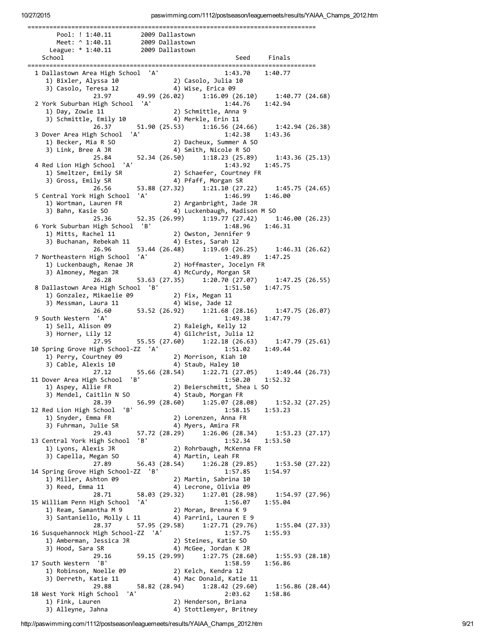| Pool: ! 1:40.11 2009 Dallastown<br>Meet: ^ 1:40.11 2009 Dallastown                                                                                           |               |               |                                                            |         |                                                                                             |  |
|--------------------------------------------------------------------------------------------------------------------------------------------------------------|---------------|---------------|------------------------------------------------------------|---------|---------------------------------------------------------------------------------------------|--|
|                                                                                                                                                              |               |               |                                                            |         |                                                                                             |  |
| League: * 1:40.11 2009 Dallastown                                                                                                                            |               |               |                                                            |         |                                                                                             |  |
| School                                                                                                                                                       |               |               |                                                            |         | Seed Finals                                                                                 |  |
| 1 Dallastown Area High School 'A'                                                                                                                            |               |               |                                                            |         | 1:43.70 1:40.77                                                                             |  |
| 1:43.70 1:40.77<br>1) Bixler, Alyssa 10 2) Casolo, Julia 10<br>3) Casolo, Teresa 12 4) Wise, Erica 09<br>23.97 49.99 (26.02) 1:16.09 (26.10) 1:40.77 (24.68) |               |               |                                                            |         |                                                                                             |  |
|                                                                                                                                                              |               |               |                                                            |         |                                                                                             |  |
|                                                                                                                                                              |               |               |                                                            |         |                                                                                             |  |
| 2 York Suburban High School 'A'                                                                                                                              |               |               |                                                            | 1:44.76 | 1:42.94                                                                                     |  |
| 1) Day, Zowie 11                                                                                                                                             |               |               | 2) Schmittle, Anna 9                                       |         |                                                                                             |  |
|                                                                                                                                                              |               |               |                                                            |         |                                                                                             |  |
| 26.37                                                                                                                                                        |               |               |                                                            |         | 51.90 (25.53) 1:16.56 (24.66) 1:42.94 (26.38)                                               |  |
| 3 Dover Area High School 'A'                                                                                                                                 |               |               | 1:42.38                                                    |         | 1:43.36                                                                                     |  |
| 1) Becker, Mia R SO                                                                                                                                          |               |               | 1:42.38<br>2) Dacheux, Summer A SO<br>4) Smith Nicels B CO |         |                                                                                             |  |
| 3) Link, Bree A JR                                                                                                                                           |               |               |                                                            |         |                                                                                             |  |
| 25.84 52.34 (26.50) 1:18.23 (25.89) 1:43.36 (25.13)                                                                                                          |               |               |                                                            |         |                                                                                             |  |
| 4 Red Lion High School 'A'                                                                                                                                   |               |               |                                                            |         | 1:43.92 1:45.75                                                                             |  |
| 1) Smeltzer, Emily SR                                                                                                                                        |               |               | 2) Schaefer, Courtney FR                                   |         |                                                                                             |  |
| 3) Gross, Emily SR                                                                                                                                           |               |               |                                                            |         |                                                                                             |  |
| 26.56                                                                                                                                                        |               |               |                                                            |         | 4) Pfaff, Morgan SR<br>53.88 (27.32)   1:21.10 (27.22)   1:45.75 (24.65)                    |  |
| 5 Central York High School 'A'                                                                                                                               |               |               |                                                            |         | 1:46.99 1:46.00                                                                             |  |
| $[entra1 in n]_{\sim}$<br>1) Wortman, Lauren FR<br>$[1, 1]$                                                                                                  |               |               | 2) Arganbright, Jade JR                                    |         |                                                                                             |  |
|                                                                                                                                                              |               |               | 4) Luckenbaugh, Madison M SO                               |         |                                                                                             |  |
| 25.36                                                                                                                                                        |               |               |                                                            |         | 52.35 (26.99) 1:19.77 (27.42) 1:46.00 (26.23)                                               |  |
| 6 York Suburban High School 'B'                                                                                                                              |               |               |                                                            |         | 1:48.96 1:46.31                                                                             |  |
| 1:48.96<br>3) Buchanan, Rebekah 11 (2) Owston, Jennifer 9<br>3) Buchanan, Rebekah 11 (4) Ester California (2) OK                                             |               |               |                                                            |         |                                                                                             |  |
|                                                                                                                                                              |               |               |                                                            |         |                                                                                             |  |
|                                                                                                                                                              |               |               |                                                            |         |                                                                                             |  |
|                                                                                                                                                              |               |               |                                                            |         | 53.44 (26.48) 1:19.69 (26.25) 1:46.31 (26.62)                                               |  |
| 7 Northeastern High School 'A'                                                                                                                               |               |               |                                                            |         | $1:49.89$ $1:47.25$                                                                         |  |
|                                                                                                                                                              |               |               |                                                            |         |                                                                                             |  |
|                                                                                                                                                              |               |               |                                                            |         |                                                                                             |  |
| 26.28                                                                                                                                                        |               |               |                                                            |         | 53.63 $(27.35)$ $1.20.70$ $(27.07)$ $1.47.25$ $(26.55)$                                     |  |
| 8 Dallastown Area High School 'B'                                                                                                                            |               |               | 1:51.50 1:47.75                                            |         |                                                                                             |  |
| 1) Gonzalez, Mikaelie 09 (2) Fix, Megan 11<br>3) Messman, Laura 11 (4) Wise, Jade 12                                                                         |               |               |                                                            |         |                                                                                             |  |
|                                                                                                                                                              |               |               |                                                            |         |                                                                                             |  |
| 26.60 53.52 (26.92) 1:21.68 (28.16) 1:47.75 (26.07)                                                                                                          |               |               |                                                            |         |                                                                                             |  |
| 9 South Western 'A'                                                                                                                                          |               |               |                                                            | 1:49.38 | 1:47.79                                                                                     |  |
| 1) Sell, Alison 09<br>3) Horner. Lily 12                                                                                                                     |               |               | 2) Raleigh, Kelly 12                                       |         |                                                                                             |  |
| 3) Horner, Lily 12                                                                                                                                           |               |               | 4) Gilchrist, Julia 12                                     |         |                                                                                             |  |
| 27.95                                                                                                                                                        |               |               |                                                            |         | 55.55 (27.60) 1:22.18 (26.63) 1:47.79 (25.61)                                               |  |
| 10 Spring Grove High School-ZZ 'A'                                                                                                                           |               |               | 1:51.02                                                    |         | 1:49.44                                                                                     |  |
| 1) Perry, Courtney 09                                                                                                                                        |               |               |                                                            |         |                                                                                             |  |
| 3) Cable, Alexis 10                                                                                                                                          |               |               |                                                            |         | 2) Morrison, Kiah 10<br>4) Staub, Haley 10<br>55.66 (28.54) 1:22.71 (27.05) 1:49.44 (26.73) |  |
| 27.12                                                                                                                                                        |               |               |                                                            |         |                                                                                             |  |
| B<br>11 Dover Area High School                                                                                                                               |               |               |                                                            |         | $1:50.20$ $1:52.32$                                                                         |  |
| 1) Aspey, Allie FR                                                                                                                                           |               |               | 2) Beierschmitt, Shea L SO                                 |         |                                                                                             |  |
| 3) Mendel, Caitlin N SO                                                                                                                                      |               |               | 4) Staub, Morgan FR                                        |         |                                                                                             |  |
| 28.39                                                                                                                                                        | 56.99 (28.60) |               | 1:25.07(28.08)                                             |         | 1:52.32 (27.25)                                                                             |  |
| 12 Red Lion High School<br>'B'                                                                                                                               |               |               |                                                            | 1:58.15 | 1:53.23                                                                                     |  |
| 1) Snyder, Emma FR                                                                                                                                           |               |               | 2) Lorenzen, Anna FR                                       |         |                                                                                             |  |
| 3) Fuhrman, Julie SR                                                                                                                                         |               |               | 4) Myers, Amira FR                                         |         |                                                                                             |  |
| 29.43                                                                                                                                                        |               | 57.72 (28.29) | 1:26.06(28.34)                                             |         | 1:53.23 (27.17)                                                                             |  |
| 13 Central York High School                                                                                                                                  | 'B'           |               |                                                            | 1:52.34 | 1:53.50                                                                                     |  |
| 1) Lyons, Alexis JR                                                                                                                                          |               |               | 2) Rohrbaugh, McKenna FR                                   |         |                                                                                             |  |
| 3) Capella, Megan SO                                                                                                                                         |               |               | 4) Martin, Leah FR                                         |         |                                                                                             |  |
| 27.89                                                                                                                                                        |               | 56.43 (28.54) | 1:26.28 (29.85)                                            |         | 1:53.50(27.22)                                                                              |  |
| 14 Spring Grove High School-ZZ 'B'                                                                                                                           |               |               |                                                            | 1:57.85 | 1:54.97                                                                                     |  |
| 1) Miller, Ashton 09                                                                                                                                         |               |               | 2) Martin, Sabrina 10                                      |         |                                                                                             |  |
| 3) Reed, Emma 11                                                                                                                                             |               |               | 4) Lecrone, Olivia 09                                      |         |                                                                                             |  |
| 28.71                                                                                                                                                        | 58.03 (29.32) |               | 1:27.01 (28.98)                                            |         | 1:54.97 (27.96)                                                                             |  |
| 15 William Penn High School                                                                                                                                  | 'A'           |               |                                                            | 1:56.07 | 1:55.04                                                                                     |  |
| 1) Ream, Samantha M 9                                                                                                                                        |               |               | 2) Moran, Brenna K 9                                       |         |                                                                                             |  |
| 3) Santaniello, Molly L 11                                                                                                                                   |               |               | 4) Parrini, Lauren E 9                                     |         |                                                                                             |  |
| 28.37                                                                                                                                                        |               | 57.95 (29.58) | 1:27.71 (29.76)                                            |         | 1:55.04(27.33)                                                                              |  |
| 16 Susquehannock High School-ZZ 'A'                                                                                                                          |               |               |                                                            | 1:57.75 | 1:55.93                                                                                     |  |
| 1) Amberman, Jessica JR                                                                                                                                      |               |               | 2) Steines, Katie SO                                       |         |                                                                                             |  |
| 3) Hood, Sara SR                                                                                                                                             |               |               | 4) McGee, Jordan K JR                                      |         |                                                                                             |  |
| 29.16                                                                                                                                                        | 59.15 (29.99) |               | 1:27.75(28.60)                                             |         |                                                                                             |  |
|                                                                                                                                                              |               |               |                                                            |         | 1:55.93(28.18)                                                                              |  |
| 17 South Western 'B'                                                                                                                                         |               |               |                                                            | 1:58.59 | 1:56.86                                                                                     |  |
| 1) Robinson, Noelle 09                                                                                                                                       |               |               | 2) Kelch, Kendra 12                                        |         |                                                                                             |  |
| 3) Derreth, Katie 11                                                                                                                                         |               |               | 4) Mac Donald, Katie 11                                    |         |                                                                                             |  |
| 29.88                                                                                                                                                        | 58.82 (28.94) |               | 1:28.42(29.60)                                             |         | 1:56.86(28.44)                                                                              |  |
| 'A'<br>18 West York High School                                                                                                                              |               |               |                                                            | 2:03.62 | 1:58.86                                                                                     |  |
| 1) Fink, Lauren                                                                                                                                              |               |               | 2) Henderson, Briana                                       |         |                                                                                             |  |
| 3) Alleyne, Jahna                                                                                                                                            |               |               | 4) Stottlemyer, Britney                                    |         |                                                                                             |  |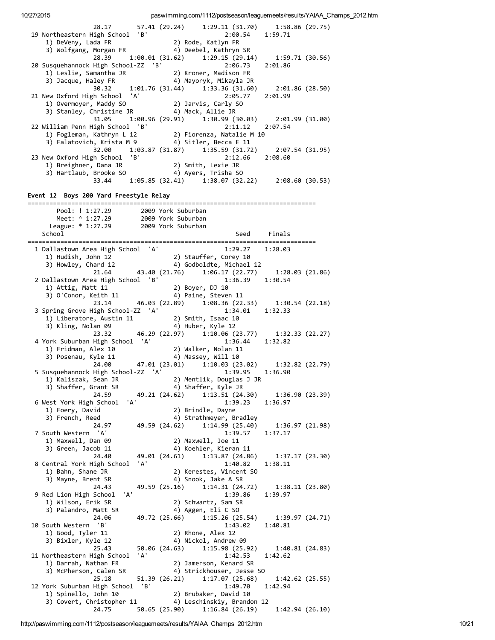28.17 57.41 (29.24) 1:29.11 (31.70) 1:58.86 (29.75) 19 Northeastern High School 'B' 2:00.54 1:59.71 1) DeVeny, Lada FR 2) Rode, Katlyn FR 3) Wolfgang, Morgan FR 4) Deebel, Kathryn SR  $28.39$   $1:00.01$   $(31.62)$   $1:29.15$   $(29.14)$   $1:59.71$   $(30.56)$ 20 Susquehannock High School‐ZZ 'B' 2:06.73 2:01.86 1) Leslie, Samantha JR 2) Kroner, Madison FR 3) Jacque, Haley FR 4) Mayoryk, Mikayla JR  $30.32$  1:01.76 (31.44) 1:33.36 (31.60) 2:01.86 (28.50)<br>gh School 'A' 2:05.77 2:01.99 21 New Oxford High School 'A' 2:05.77 2:01.99 1) Overmoyer, Maddy SO 2) Jarvis, Carly SO 3) Stanley, Christine JR 4) Mack, Allie JR 31.05 1:00.96 (29.91) 1:30.99 (30.03) 2:01.99 (31.00) 22 William Penn High School 'B' 2:11.12 2:07.54 1) Fogleman, Kathryn L 12 2) Fiorenza, Natalie M 10 3) Falatovich, Krista M 9 4) Sitler, Becca E 11 32.00 1:03.87 (31.87) 1:35.59 (31.72) 2:07.54 (31.95) 23 New Oxford High School 'B' 2:12.66 2:08.60 1) Breighner, Dana JR 2) Smith, Lexie JR 3) Hartlaub, Brooke SO 4) Ayers, Trisha SO 33.44 1:05.85 (32.41) 1:38.07 (32.22) 2:08.60 (30.53) Event 12 Boys 200 Yard Freestyle Relay =============================================================================== Pool: ! 1:27.29 2009 York Suburban Meet: ^ 1:27.29 2009 York Suburban League: \* 1:27.29 2009 York Suburban School Seed Finals =============================================================================== 1 Dallastown Area High School 'A' 1:29.27 1:28.03 1) Hudish, John 12 2) Stauffer, Corey 10 3) Howley, Chard 12 4) Godboldte, Michael 12 21.64 43.40 (21.76) 1:06.17 (22.77) 1:28.03 (21.86) 2 Dallastown Area High School 'B' 1:36.39 1:30.54 1) Attig, Matt 11 2) Boyer, DJ 10 3) O'Conor, Keith 11 4) Paine, Steven 11 23.14 46.03 (22.89) 1:08.36 (22.33) 1:30.54 (22.18) 3 Spring Grove High School‐ZZ 'A' 1:34.01 1:32.33 1) Liberatore, Austin 11 2) Smith, Isaac 10 3) Kling, Nolan 09 4) Huber, Kyle 12 23.32 46.29 (22.97) 1:10.06 (23.77) 1:32.33 (22.27) 4 York Suburban High School 'A' 1:36.44 1:32.82 1) Fridman, Alex 10 2) Walker, Nolan 11<br>3) Posenau, Kyle 11 4) Massey, Will 10 3) Posenau, Kyle 11 4) Massey, Will 10 24.00 47.01 (23.01) 1:10.03 (23.02) 1:32.82 (22.79) 5 Susquehannock High School‐ZZ 'A' 1:39.95 1:36.90 1) Kaliszak, Sean JR 2) Mentlik, Douglas J JR 3) Shaffer, Grant SR 4) Shaffer, Kyle JR 24.59 49.21 (24.62) 1:13.51 (24.30) 1:36.90 (23.39) 6 West York High School 'A' 1:39.23 1:36.97<br>1) Foery, David 2) Brindle, Dayne 1) Foery, David<br>
3) French, Reed<br>
2) Strathmeyer, Bradley<br>
4) Strathmeyer, Bradley 3) French, Reed (4) Strathmeyer, Bradley 24.97 49.59 (24.62) 1:14.99 (25.40) 1:36.97 (21.98) 7 South Western 'A' 1:39.57 1:37.17 1) Maxwell, Dan 09 2) Maxwell, Joe 11<br>3) Green, Jacob 11 3) (Sehler, Kieran 11 3) Green, Jacob 11 (4) Koehler, Kieran 11 24.40 49.01 (24.61) 1:13.87 (24.86) 1:37.17 (23.30) 8 Central York High School 'A' 1:40.82 1:38.11 1) Bahn, Shane JR 2) Kerestes, Vincent SO 3) Mayne, Brent SR 4) Snook, Jake A SR 24.43 49.59 (25.16) 1:14.31 (24.72) 1:38.11 (23.80) 9 Red Lion High School 'A' 1:39.86 1:39.97 1) Wilson, Erik SR 2) Schwartz, Sam SR 2) Schwartz, Sam SR<br>3) Palandro, Matt SR<br>3) Palandro, Matt SR 4) Aggen, Eli C SO 24.06 49.72 (25.66) 1:15.26 (25.54) 1:39.97 (24.71)<br>12 1:43.02 1:49.81 1:43.02 1:49.81 1:43.02 1:40.81 1) Good, Tyler 11 2) Rhone, Alex 12 3) Bixler, Kyle 12 4) Nickol, Andrew 09  $25.43$  50.06 (24.63) 1:15.98 (25.92) 1:40.81 (24.83) 11 Northeastern High School 'A' 1:42.53 1:42.62 1) Darrah, Nathan FR 2) Jamerson, Kenard SR 3) McPherson, Calen SR 4) Strickhouser, Jesse SO 25.18 51.39 (26.21) 1:17.07 (25.68) 1:42.62 (25.55) 12 York Suburban High School 'B' 1) Spinello, John 10 2) Brubaker, David 10 3) Covert, Christopher 11 4) Leschinskiy, Brandon 12 24.75 50.65 (25.90) 1:16.84 (26.19) 1:42.94 (26.10)

http://paswimming.com/1112/postseason/leaguemeets/results/YAIAA\_Champs\_2012.htm 10/21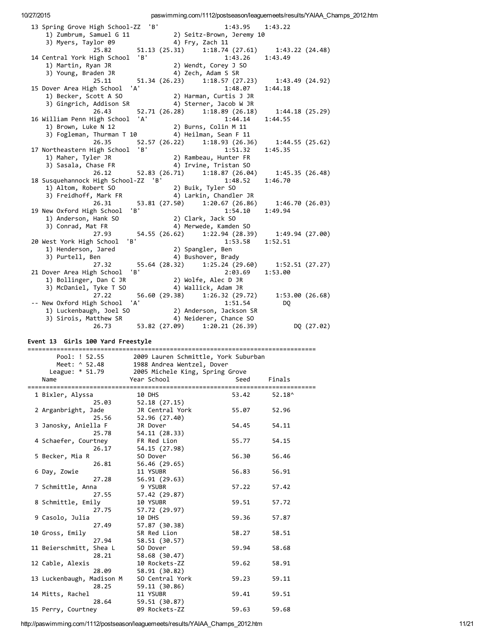| 13 Spring Grove High School-ZZ 'B'<br>2) Seitz-Brown, Jeremy 10<br>1) Zumbrum, Samuel G 11<br>3) Myers, Taylor 09<br>4) Fry, Zach 11 | 1:43.95<br>1:43.22    |
|--------------------------------------------------------------------------------------------------------------------------------------|-----------------------|
| 51.13 (25.31) 1:18.74 (27.61)<br>25.82                                                                                               | 1:43.22 (24.48)       |
| 14 Central York High School 'B'                                                                                                      | 1:43.26<br>1:43.49    |
| 2) Wendt, Corey J SO<br>1) Martin, Ryan JR                                                                                           |                       |
| 4) Zech, Adam S SR<br>3) Young, Braden JR                                                                                            |                       |
| 51.34 (26.23) 1:18.57 (27.23)<br>25.11                                                                                               | 1:43.49 (24.92)       |
| 'A'<br>15 Dover Area High School<br>/8.0 1:48<br>2) Harman, Curtis J JR                                                              | 1:48.07<br>1:44.18    |
| 1) Becker, Scott A SO                                                                                                                |                       |
| 3) Gingrich, Addison SR<br>4) Sterner, Jacob W JR                                                                                    |                       |
| 52.71 (26.28) 1:18.89 (26.18)<br>26.43                                                                                               | 1:44.18 (25.29)       |
| 'A'<br>16 William Penn High School                                                                                                   | 1:44.14<br>1:44.55    |
| 2) Burns, Colin M 11<br>1) Brown, Luke N 12                                                                                          |                       |
| 3) Fogleman, Thurman T 10 4) Heilman, Sean F 11                                                                                      |                       |
| 26.35<br>52.57 (26.22) 1:18.93 (26.36)                                                                                               | 1:44.55 (25.62)       |
| 17 Northeastern High School 'B'                                                                                                      | 1:51.32<br>1:45.35    |
| 1:51.32<br>2) Rambeau, Hunter FR<br>4) Invince T<br>1) Maher, Tyler JR                                                               |                       |
| 3) Sasala, Chase FR                                                                                                                  |                       |
| 26.12<br>52.83 (26.71) 1:18.87 (26.04)                                                                                               | 1:45.35 (26.48)       |
| 18 Susquehannock High School-ZZ 'B'                                                                                                  | 1:48.52<br>1:46.70    |
| 2) Buik, Tyler SO<br>1) Altom, Robert SO                                                                                             |                       |
| 4) Larkin, Chandler JR<br>3) Freidhoff, Mark FR                                                                                      |                       |
| 53.81 (27.50) 1:20.67 (26.86)<br>26.31                                                                                               | 1:46.70 (26.03)       |
| 'B'<br>19 New Oxford High School                                                                                                     | 1:54.10<br>1:49.94    |
| د:1<br>Clark, Jack SO (2<br>1) Anderson, Hank SO                                                                                     |                       |
| 3) Conrad, Mat FR                                                                                                                    | 4) Merwede, Kamden SO |
| 54.55 (26.62) 1:22.94 (28.39)<br>27.93                                                                                               | 1:49.94 (27.00)       |
| $B^+$<br>20 West York High School                                                                                                    | 1:53.58<br>1:52.51    |
| 1) Henderson, Jared<br>2) Spangler, Ben                                                                                              |                       |
| 3) Purtell, Ben<br>4) Bushover, Brady                                                                                                |                       |
| 27.32<br>55.64 (28.32) 1:25.24 (29.60)                                                                                               | 1:52.51 (27.27)       |
| 21 Dover Area High School<br>'B'                                                                                                     | 2:03.69<br>1:53.00    |
| 2) Wolfe, Alec D JR<br>1) Bollinger, Dan C JR                                                                                        |                       |
| 3) McDaniel, Tyke T SO                                                                                                               | 4) Wallick, Adam JR   |
| 56.60 (29.38) 1:26.32 (29.72)<br>27.22                                                                                               | 1:53.00(26.68)        |
| -- New Oxford High School<br>'A'                                                                                                     | 1:51.54<br>DQ.        |
| 2) Anderson, Jackson SR<br>1) Luckenbaugh, Joel SO                                                                                   |                       |
|                                                                                                                                      |                       |
| 4) Neiderer, Chance SO<br>3) Sirois, Matthew SR                                                                                      |                       |

Event 13 Girls 100 Yard Freestyle

| ============================= |                                      |       |                 |
|-------------------------------|--------------------------------------|-------|-----------------|
| Pool: ! 52.55                 | 2009 Lauren Schmittle, York Suburban |       |                 |
| Meet: ^ 52.48                 | 1988 Andrea Wentzel, Dover           |       |                 |
| League: * 51.79               | 2005 Michele King, Spring Grove      |       |                 |
| Name                          | Year School                          | Seed  | Finals          |
|                               |                                      |       | ============    |
| 1 Bixler, Alyssa              | 10 DHS                               | 53.42 | $52.18^{\circ}$ |
| 25.03                         | 52.18 (27.15)                        |       |                 |
| 2 Arganbright, Jade           | JR Central York                      | 55.07 | 52.96           |
| 25.56                         | 52.96 (27.40)                        |       |                 |
| 3 Janosky, Aniella F          | JR Dover                             | 54.45 | 54.11           |
| 25.78                         | 54.11 (28.33)                        |       |                 |
| 4 Schaefer, Courtney          | FR Red Lion                          | 55.77 | 54.15           |
| 26.17                         | 54.15 (27.98)                        |       |                 |
| 5 Becker, Mia R               | SO Dover                             | 56.30 | 56.46           |
| 26.81                         | 56.46 (29.65)                        |       |                 |
| 6 Day, Zowie                  | 11 YSUBR                             | 56.83 | 56.91           |
| 27.28                         | 56.91 (29.63)                        |       |                 |
| 7 Schmittle, Anna             | 9 YSUBR                              | 57.22 | 57.42           |
| 27.55                         | 57.42 (29.87)                        |       |                 |
| 8 Schmittle, Emily            | 10 YSUBR                             | 59.51 | 57.72           |
| 27.75                         | 57.72 (29.97)                        |       |                 |
| 9 Casolo, Julia               | 10 DHS                               | 59.36 | 57.87           |
| 27.49                         | 57.87 (30.38)                        |       |                 |
| 10 Gross, Emily               | SR Red Lion                          | 58.27 | 58.51           |
| 27.94                         | 58.51 (30.57)                        |       |                 |
| 11 Beierschmitt, Shea L       | SO Dover                             | 59.94 | 58.68           |
| 28.21                         | 58.68 (30.47)                        |       |                 |
| 12 Cable, Alexis              | 10 Rockets-ZZ                        | 59.62 | 58.91           |
| 28.09                         | 58.91 (30.82)                        |       |                 |
| 13 Luckenbaugh, Madison M     | SO Central York                      | 59.23 | 59.11           |
| 28.25                         | 59.11 (30.86)                        |       |                 |
| 14 Mitts, Rachel              | 11 YSUBR                             | 59.41 | 59.51           |
| 28.64                         | 59.51 (30.87)                        |       |                 |
| 15 Perry, Courtney            | 09 Rockets-ZZ                        | 59.63 | 59.68           |

http://paswimming.com/1112/postseason/leaguemeets/results/YAIAA\_Champs\_2012.htm 11/21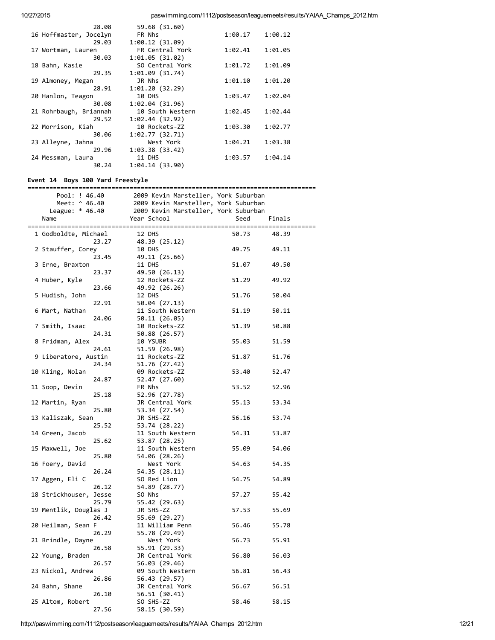|                        | 28.08 | 59.68 (31.60)    |         |         |
|------------------------|-------|------------------|---------|---------|
| 16 Hoffmaster, Jocelyn |       | FR Nhs           | 1:00.17 | 1:00.12 |
|                        | 29.03 | 1:00.12(31.09)   |         |         |
| 17 Wortman, Lauren     |       | FR Central York  | 1:02.41 | 1:01.05 |
|                        | 30.03 | 1:01.05(31.02)   |         |         |
| 18 Bahn, Kasie         |       | SO Central York  | 1:01.72 | 1:01.09 |
|                        | 29.35 | 1:01.09(31.74)   |         |         |
| 19 Almoney, Megan      |       | JR Nhs           | 1:01.10 | 1:01.20 |
|                        | 28.91 | 1:01.20(32.29)   |         |         |
| 20 Hanlon, Teagon      |       | 10 DHS           | 1:03.47 | 1:02.04 |
|                        | 30.08 | 1:02.04(31.96)   |         |         |
| 21 Rohrbaugh, Briannah |       | 10 South Western | 1:02.45 | 1:02.44 |
|                        | 29.52 | 1:02.44(32.92)   |         |         |
| 22 Morrison, Kiah      |       | 10 Rockets-ZZ    | 1:03.30 | 1:02.77 |
|                        | 30.06 | 1:02.77(32.71)   |         |         |
| 23 Alleyne, Jahna      |       | West York        | 1:04.21 | 1:03.38 |
|                        | 29.96 | 1:03.38(33.42)   |         |         |
| 24 Messman, Laura      |       | 11 DHS           | 1:03.57 | 1:04.14 |
|                        | 30.24 | 1:04.14(33.90)   |         |         |
|                        |       |                  |         |         |

# Event 14 Boys 100 Yard Freestyle

| Pool: ! 46.40          |                  | 2009 Kevin Marsteller, York Suburban |       |        |
|------------------------|------------------|--------------------------------------|-------|--------|
| Meet: ^ 46.40          |                  | 2009 Kevin Marsteller, York Suburban |       |        |
| League: $* 46.40$      |                  | 2009 Kevin Marsteller, York Suburban |       |        |
| Name                   | Year School      |                                      | Seed  | Finals |
|                        |                  |                                      |       |        |
| 1 Godboldte, Michael   | 12 DHS           |                                      | 50.73 | 48.39  |
| 23.27                  | 48.39 (25.12)    |                                      |       |        |
| 2 Stauffer, Corey      | 10 DHS           |                                      | 49.75 | 49.11  |
| 23.45                  | 49.11 (25.66)    |                                      |       |        |
| 3 Erne, Braxton        | 11 DHS           |                                      | 51.07 | 49.50  |
| 23.37                  | 49.50 (26.13)    |                                      |       |        |
| 4 Huber, Kyle          | 12 Rockets-ZZ    |                                      | 51.29 | 49.92  |
| 23.66                  | 49.92 (26.26)    |                                      |       |        |
| 5 Hudish, John         | 12 DHS           |                                      | 51.76 | 50.04  |
| 22.91                  | 50.04 (27.13)    |                                      |       |        |
| 6 Mart, Nathan         | 11 South Western |                                      | 51.19 | 50.11  |
| 24.06                  | 50.11 (26.05)    |                                      |       |        |
| 7 Smith, Isaac         | 10 Rockets-ZZ    |                                      | 51.39 | 50.88  |
|                        |                  |                                      |       |        |
| 24.31                  | 50.88 (26.57)    |                                      |       |        |
| 8 Fridman, Alex        | 10 YSUBR         |                                      | 55.03 | 51.59  |
| 24.61                  | 51.59 (26.98)    |                                      |       |        |
| 9 Liberatore, Austin   | 11 Rockets-ZZ    |                                      | 51.87 | 51.76  |
| 24.34                  | 51.76 (27.42)    |                                      |       |        |
| 10 Kling, Nolan        | 09 Rockets-ZZ    |                                      | 53.40 | 52.47  |
| 24.87                  | 52.47 (27.60)    |                                      |       |        |
| 11 Soop, Devin         | FR Nhs           |                                      | 53.52 | 52.96  |
| 25.18                  | 52.96 (27.78)    |                                      |       |        |
| 12 Martin, Ryan        | JR Central York  |                                      | 55.13 | 53.34  |
| 25.80                  | 53.34 (27.54)    |                                      |       |        |
| 13 Kaliszak, Sean      | JR SHS-ZZ        |                                      | 56.16 | 53.74  |
| 25.52                  | 53.74 (28.22)    |                                      |       |        |
| 14 Green, Jacob        | 11 South Western |                                      | 54.31 | 53.87  |
| 25.62                  | 53.87 (28.25)    |                                      |       |        |
| 15 Maxwell, Joe        | 11 South Western |                                      | 55.09 | 54.06  |
| 25.80                  | 54.06 (28.26)    |                                      |       |        |
| 16 Foery, David        | West York        |                                      | 54.63 | 54.35  |
| 26.24                  | 54.35 (28.11)    |                                      |       |        |
| 17 Aggen, Eli C        | SO Red Lion      |                                      | 54.75 | 54.89  |
| 26.12                  | 54.89 (28.77)    |                                      |       |        |
| 18 Strickhouser, Jesse | SO Nhs           |                                      | 57.27 | 55.42  |
| 25.79                  | 55.42 (29.63)    |                                      |       |        |
| 19 Mentlik, Douglas J  | JR SHS-ZZ        |                                      | 57.53 | 55.69  |
| 26.42                  | 55.69 (29.27)    |                                      |       |        |
| 20 Heilman, Sean F     | 11 William Penn  |                                      | 56.46 | 55.78  |
|                        |                  |                                      |       |        |
| 26.29                  | 55.78 (29.49)    |                                      |       |        |
| 21 Brindle, Dayne      | West York        |                                      | 56.73 | 55.91  |
| 26.58                  | 55.91 (29.33)    |                                      |       |        |
| 22 Young, Braden       | JR Central York  |                                      | 56.80 | 56.03  |
| 26.57                  | 56.03 (29.46)    |                                      |       |        |
| 23 Nickol, Andrew      | 09 South Western |                                      | 56.81 | 56.43  |
| 26.86                  | 56.43 (29.57)    |                                      |       |        |
| 24 Bahn, Shane         | JR Central York  |                                      | 56.67 | 56.51  |
| 26.10                  | 56.51 (30.41)    |                                      |       |        |
| 25 Altom, Robert       | SO SHS-ZZ        |                                      | 58.46 | 58.15  |
| 27.56                  | 58.15 (30.59)    |                                      |       |        |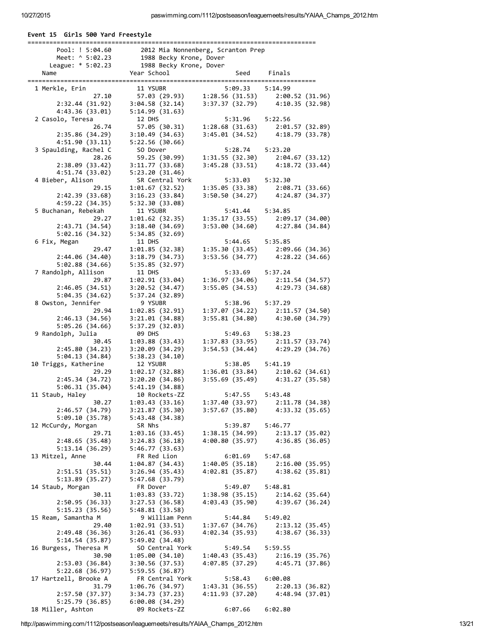## Event 15 Girls 500 Yard Freestyle

| Pool: ! 5:04.60                        |                                        | 2012 Mia Nonnenberg, Scranton Prep |                                                                                                |
|----------------------------------------|----------------------------------------|------------------------------------|------------------------------------------------------------------------------------------------|
| Meet: ^ 5:02.23                        | 1988 Becky Krone, Dover                |                                    |                                                                                                |
| League: $* 5:02.23$<br>Name            | 1988 Becky Krone, Dover<br>Year School |                                    | Seed Finals                                                                                    |
| =============================          |                                        |                                    |                                                                                                |
| 1 Merkle, Erin                         | 11 YSUBR                               | 5:09.33                            | 5:14.99                                                                                        |
| 27.10                                  |                                        |                                    | 57.03 (29.93) 1:28.56 (31.53) 2:00.52 (31.96)<br>04.58 (32.14) 3:37.37 (32.79) 4:10.35 (32.98) |
| 2:32.44(31.92)                         | 3:04.58(32.14)                         |                                    |                                                                                                |
| 4:43.36 (33.01)                        | 5:14.99 (31.63)                        |                                    |                                                                                                |
| 2 Casolo, Teresa                       | 12 DHS                                 | 5:31.96                            | 5:22.56                                                                                        |
| 26.74<br>2:35.86 (34.29)               | 57.05 (30.31)<br>3:10.49(34.63)        | 1:28.68(31.63)                     | 2:01.57 (32.89)<br>3:45.01 (34.52) 4:18.79 (33.78)                                             |
| 4:51.90(33.11)                         | 5:22.56(30.66)                         |                                    |                                                                                                |
| 3 Spaulding, Rachel C                  | SO Dover                               | 5:28.74                            | 5:23.20                                                                                        |
| 28.26                                  | 59.25 (30.99)                          | 1:31.55(32.30)                     | 2:04.67 (33.12)                                                                                |
| 2:38.09(33.42)                         | 3:11.77(33.68)                         |                                    | $3:45.28(33.51)$ $4:18.72(33.44)$                                                              |
| 4:51.74 (33.02)                        | 5:23.20 (31.46)                        |                                    |                                                                                                |
| 4 Bieber, Alison                       | SR Central York                        | 5:33.03                            | 5:32.30                                                                                        |
| 29.15                                  | 1:01.67(32.52)                         | 1:35.05 (33.38)                    | 2:08.71 (33.66)                                                                                |
| 2:42.39 (33.68)                        | 3:16.23(33.84)                         |                                    | $3:50.50(34.27)$ $4:24.87(34.37)$                                                              |
| 4:59.22 (34.35)<br>5 Buchanan, Rebekah | 5:32.30 (33.08)<br>11 YSUBR            |                                    |                                                                                                |
| 29.27                                  | 1:01.62(32.35)                         | 5:41.44<br>1:35.17(33.55)          | 5:34.85<br>2:09.17 (34.00)                                                                     |
| 2:43.71(34.54)                         | 3:18.40(34.69)                         |                                    | 3:53.00 (34.60) 4:27.84 (34.84)                                                                |
| 5:02.16(34.32)                         | 5:34.85(32.69)                         |                                    |                                                                                                |
| 6 Fix, Megan                           | 11 DHS                                 | 5:44.65                            | 5:35.85                                                                                        |
| 29.47                                  | 1:01.85(32.38)                         | 1:35.30(33.45)                     | 2:09.66 (34.36)                                                                                |
| 2:44.06(34.40)                         | 3:18.79 (34.73)                        |                                    | 3:53.56 (34.77) 4:28.22 (34.66)                                                                |
| 5:02.88(34.66)                         | 5:35.85 (32.97)                        |                                    |                                                                                                |
| 7 Randolph, Allison                    | 11 DHS                                 | 5:33.69                            | 5:37.24                                                                                        |
| 29.87                                  | 1:02.91 (33.04)                        |                                    | $1:36.97(34.06)$ $2:11.54(34.57)$<br>$3:55.05(34.53)$ $4:29.73(34.68)$                         |
| 2:46.05(34.51)<br>5:04.35(34.62)       | 3:20.52(34.47)<br>5:37.24 (32.89)      |                                    |                                                                                                |
| 8 Owston, Jennifer                     | 9 YSUBR                                | 5:38.96                            | 5:37.29                                                                                        |
| 29.94                                  | 1:02.85(32.91)                         | 1:37.07(34.22)                     | 2:11.57 (34.50)                                                                                |
| 2:46.13(34.56)                         | 3:21.01(34.88)                         | 3:55.81(34.80)                     | 4:30.60 (34.79)                                                                                |
| 5:05.26(34.66)                         | 5:37.29 (32.03)                        |                                    |                                                                                                |
| 9 Randolph, Julia                      | <b>09 DHS</b>                          | 5:49.63                            | 5:38.23                                                                                        |
| 30.45                                  | 1:03.88(33.43)                         | 1:37.83(33.95)                     | 2:11.57 (33.74)                                                                                |
| 2:45.80(34.23)                         | 3:20.09(34.29)                         |                                    | 3:54.53 (34.44) 4:29.29 (34.76)                                                                |
| 5:04.13(34.84)                         | 5:38.23(34.10)                         |                                    |                                                                                                |
| 10 Triggs, Katherine<br>29.29          | 12 YSUBR<br>1:02.17(32.88)             | 5:38.05<br>1:36.01(33.84)          | 5:41.19<br>2:10.62 (34.61)                                                                     |
| 2:45.34(34.72)                         | 3:20.20(34.86)                         |                                    | $3:55.69(35.49)$ $4:31.27(35.58)$                                                              |
| 5:06.31(35.04)                         | 5:41.19(34.88)                         |                                    |                                                                                                |
| 11 Staub, Haley                        | 10 Rockets-ZZ                          | 5:47.55                            | 5:43.48                                                                                        |
| 30.27                                  | 1:03.43 (33.16)                        | 1:37.40 (33.97)                    | 2:11.78 (34.38)                                                                                |
| 2:46.57 (34.79)                        | 3:21.87 (35.30)                        | 3:57.67(35.80)                     | 4:33.32 (35.65)                                                                                |
| 5:09.10(35.78)                         | 5:43.48(34.38)                         |                                    |                                                                                                |
| 12 McCurdy, Morgan                     | SR Nhs                                 | 5:39.87                            | 5:46.77                                                                                        |
| 29.71                                  | 1:03.16(33.45)                         | 1:38.15(34.99)                     | 2:13.17 (35.02)                                                                                |
| 2:48.65(35.48)                         | 3:24.83(36.18)                         | 4:00.80 (35.97)                    | 4:36.85 (36.05)                                                                                |
| 5:13.14(36.29)                         | 5:46.77(33.63)                         | 6:01.69                            | 5:47.68                                                                                        |
| 13 Mitzel, Anne<br>30.44               | FR Red Lion<br>1:04.87(34.43)          | 1:40.05(35.18)                     | 2:16.00(35.95)                                                                                 |
| 2:51.51(35.51)                         | 3:26.94(35.43)                         | 4:02.81(35.87)                     | 4:38.62 (35.81)                                                                                |
| 5:13.89(35.27)                         | 5:47.68 (33.79)                        |                                    |                                                                                                |
| 14 Staub, Morgan                       | FR Dover                               | 5:49.07                            | 5:48.81                                                                                        |
| 30.11                                  | 1:03.83 (33.72)                        | 1:38.98(35.15)                     | 2:14.62(35.64)                                                                                 |
| 2:50.95 (36.33)                        | 3:27.53(36.58)                         | 4:03.43(35.90)                     | 4:39.67 (36.24)                                                                                |
| 5:15.23(35.56)                         | 5:48.81 (33.58)                        |                                    |                                                                                                |
| 15 Ream, Samantha M                    | 9 William Penn                         | 5:44.84                            | 5:49.02                                                                                        |
| 29.40                                  | 1:02.91 (33.51)                        | 1:37.67 (34.76)                    | 2:13.12 (35.45)                                                                                |
| 2:49.48(36.36)<br>5:14.54(35.87)       | 3:26.41(36.93)<br>5:49.02 (34.48)      | 4:02.34(35.93)                     | 4:38.67 (36.33)                                                                                |
| 16 Burgess, Theresa M                  | SO Central York                        | 5:49.54                            | 5:59.55                                                                                        |
| 30.90                                  | 1:05.00(34.10)                         | 1:40.43(35.43)                     | 2:16.19(35.76)                                                                                 |
| 2:53.03(36.84)                         | 3:30.56(37.53)                         | 4:07.85 (37.29)                    | 4:45.71 (37.86)                                                                                |
| 5:22.68 (36.97)                        | 5:59.55(36.87)                         |                                    |                                                                                                |
| 17 Hartzell, Brooke A                  | FR Central York                        | 5:58.43                            | 6:00.08                                                                                        |
| 31.79                                  | 1:06.76 (34.97)                        | 1:43.31(36.55)                     | 2:20.13(36.82)                                                                                 |
| 2:57.50 (37.37)                        | 3:34.73 (37.23)                        | 4:11.93(37.20)                     | 4:48.94 (37.01)                                                                                |
| 5:25.79 (36.85)                        | 6:00.08(34.29)                         |                                    |                                                                                                |
| 18 Miller, Ashton                      | 09 Rockets-ZZ                          | 6:07.66                            | 6:02.80                                                                                        |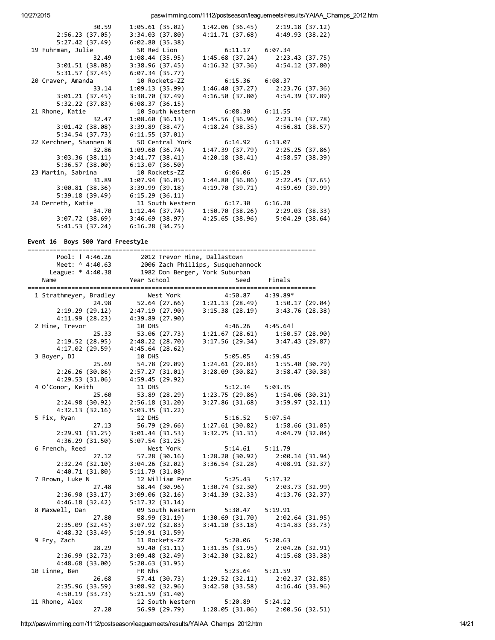| 30.59                  | 1:05.61 (35.02)  | 1:42.06 (36.45)     | 2:19.18(37.12)                      |
|------------------------|------------------|---------------------|-------------------------------------|
| 2:56.23(37.05)         | 3:34.03(37.80)   | 4:11.71 (37.68)     | 4:49.93 (38.22)                     |
| 5:27.42(37.49)         | 6:02.80(35.38)   |                     |                                     |
| 19 Fuhrman, Julie      | SR Red Lion      | $6:11.17$ $6:07.34$ |                                     |
| 32.49                  | 1:08.44(35.95)   |                     | $1:45.68$ (37.24) $2:23.43$ (37.75) |
| 3:01.51(38.08)         | 3:38.96(37.45)   |                     | 4:16.32 (37.36) 4:54.12 (37.80)     |
| 5:31.57(37.45)         | 6:07.34(35.77)   |                     |                                     |
| 20 Craver, Amanda      | 10 Rockets-ZZ    | 6:15.36 6:08.37     |                                     |
| 33.14                  | 1:09.13 (35.99)  |                     | $1:46.40(37.27)$ $2:23.76(37.36)$   |
| 3:01.21(37.45)         | 3:38.70(37.49)   |                     | 4:16.50 (37.80) 4:54.39 (37.89)     |
| 5:32.22(37.83)         | 6:08.37(36.15)   |                     |                                     |
| 21 Rhone, Katie        | 10 South Western | 6:08.30 6:11.55     |                                     |
| 32.47                  | 1:08.60(36.13)   |                     | $1:45.56(36.96)$ $2:23.34(37.78)$   |
| 3:01.42(38.08)         | 3:39.89(38.47)   |                     | 4:18.24 (38.35) 4:56.81 (38.57)     |
| 5:34.54(37.73)         | 6:11.55(37.01)   |                     |                                     |
| 22 Kerchner, Shannen N | SO Central York  | $6:14.92$ $6:13.07$ |                                     |
| 32.86                  | 1:09.60 (36.74)  |                     | 1:47.39 (37.79) 2:25.25 (37.86)     |
| 3:03.36(38.11)         | 3:41.77(38.41)   |                     | 4:20.18 (38.41) 4:58.57 (38.39)     |
| 5:36.57(38.00)         | 6:13.07(36.50)   |                     |                                     |
| 23 Martin, Sabrina     | 10 Rockets-ZZ    | $6:06.06$ $6:15.29$ |                                     |
| 31.89                  | 1:07.94 (36.05)  |                     | $1:44.80(36.86)$ $2:22.45(37.65)$   |
| 3:00.81(38.36)         | 3:39.99(39.18)   |                     | 4:19.70 (39.71) 4:59.69 (39.99)     |
| 5:39.18(39.49)         | 6:15.29(36.11)   |                     |                                     |
| 24 Derreth, Katie      | 11 South Western | $6:17.30$ $6:16.28$ |                                     |
| 34.70                  | 1:12.44 (37.74)  |                     | $1:50.70(38.26)$ $2:29.03(38.33)$   |
| 3:07.72(38.69)         | 3:46.69 (38.97)  | 4:25.65 (38.96)     | 5:04.29(38.64)                      |
| 5:41.53(37.24)         | 6:16.28(34.75)   |                     |                                     |
|                        |                  |                     |                                     |

Event 16 Boys 500 Yard Freestyle

| Pool: ! 4:46.26 2012 Trevor Hine, Dallastown<br>Meet: ^ 4:40.63 2006 Zach Phillips, Susquehannock<br>League: * 4:40.38 1982 Don Berger, York Suburban<br>Year School<br>Seed<br>Finals<br>Name<br>4:50.87 4:39.89*<br>1 Strathmeyer, Bradley<br>West York<br>$52.64 (27.66)$ $1:21.13 (28.49)$ $1:50.17 (29.04)$<br>24.98<br>2:47.19 (27.90) 3:15.38 (28.19) 3:43.76 (28.38)<br>2:19.29(29.12)<br>4:11.99(28.23)<br>4:39.89 (27.90)<br>2 Hine, Trevor<br>4:46.26<br>10 DHS<br>4:45.64!<br>25.33<br>53.06 (27.73)<br>$1:21.67(28.61)$ $1:50.57(28.90)$<br>$3:17.56(29.34)$ $3:47.43(29.87)$<br>2:19.52(28.95)<br>2:48.22(28.70)<br>4:17.02(29.59)<br>4:45.64(28.62)<br>3 Boyer, DJ<br>10 DHS<br>5:05.05<br>4:59.45<br>54.78 (29.09)<br>1:24.61 (29.83) 1:55.40 (30.79)<br>3:28.09 (30.82) 3:58.47 (30.38)<br>25.69<br>2:26.26(30.86)<br>2:57.27(31.01)<br>4:29.53 (31.06)<br>4:59.45 (29.92)<br>4 O'Conor, Keith<br>5:12.34<br>5:03.35<br>11 DHS<br>25.60<br>53.89 (28.29)<br>1:23.75 (29.86) 1:54.06 (30.31)<br>2:24.98(30.92)<br>2:56.18(31.20)<br>$3:27.86$ (31.68) $3:59.97$ (32.11)<br>4:32.13(32.16)<br>5:03.35(31.22)<br>12 DHS<br>5:07.54<br>5 Fix, Ryan<br>5:16.52<br>$1:27.61(30.82)$ $1:58.66(31.05)$<br>27.13<br>56.79 (29.66)<br>2:29.91(31.25)<br>3:01.44(31.53)<br>3:32.75 (31.31) 4:04.79 (32.04)<br>4:36.29(31.50)<br>5:07.54(31.25)<br>6 French, Reed<br>West York<br>5:14.61<br>5:11.79 |
|-----------------------------------------------------------------------------------------------------------------------------------------------------------------------------------------------------------------------------------------------------------------------------------------------------------------------------------------------------------------------------------------------------------------------------------------------------------------------------------------------------------------------------------------------------------------------------------------------------------------------------------------------------------------------------------------------------------------------------------------------------------------------------------------------------------------------------------------------------------------------------------------------------------------------------------------------------------------------------------------------------------------------------------------------------------------------------------------------------------------------------------------------------------------------------------------------------------------------------------------------------------------------------------------------------------------------------------------------------------------------------------------------------------|
|                                                                                                                                                                                                                                                                                                                                                                                                                                                                                                                                                                                                                                                                                                                                                                                                                                                                                                                                                                                                                                                                                                                                                                                                                                                                                                                                                                                                           |
|                                                                                                                                                                                                                                                                                                                                                                                                                                                                                                                                                                                                                                                                                                                                                                                                                                                                                                                                                                                                                                                                                                                                                                                                                                                                                                                                                                                                           |
|                                                                                                                                                                                                                                                                                                                                                                                                                                                                                                                                                                                                                                                                                                                                                                                                                                                                                                                                                                                                                                                                                                                                                                                                                                                                                                                                                                                                           |
|                                                                                                                                                                                                                                                                                                                                                                                                                                                                                                                                                                                                                                                                                                                                                                                                                                                                                                                                                                                                                                                                                                                                                                                                                                                                                                                                                                                                           |
|                                                                                                                                                                                                                                                                                                                                                                                                                                                                                                                                                                                                                                                                                                                                                                                                                                                                                                                                                                                                                                                                                                                                                                                                                                                                                                                                                                                                           |
|                                                                                                                                                                                                                                                                                                                                                                                                                                                                                                                                                                                                                                                                                                                                                                                                                                                                                                                                                                                                                                                                                                                                                                                                                                                                                                                                                                                                           |
|                                                                                                                                                                                                                                                                                                                                                                                                                                                                                                                                                                                                                                                                                                                                                                                                                                                                                                                                                                                                                                                                                                                                                                                                                                                                                                                                                                                                           |
|                                                                                                                                                                                                                                                                                                                                                                                                                                                                                                                                                                                                                                                                                                                                                                                                                                                                                                                                                                                                                                                                                                                                                                                                                                                                                                                                                                                                           |
|                                                                                                                                                                                                                                                                                                                                                                                                                                                                                                                                                                                                                                                                                                                                                                                                                                                                                                                                                                                                                                                                                                                                                                                                                                                                                                                                                                                                           |
|                                                                                                                                                                                                                                                                                                                                                                                                                                                                                                                                                                                                                                                                                                                                                                                                                                                                                                                                                                                                                                                                                                                                                                                                                                                                                                                                                                                                           |
|                                                                                                                                                                                                                                                                                                                                                                                                                                                                                                                                                                                                                                                                                                                                                                                                                                                                                                                                                                                                                                                                                                                                                                                                                                                                                                                                                                                                           |
|                                                                                                                                                                                                                                                                                                                                                                                                                                                                                                                                                                                                                                                                                                                                                                                                                                                                                                                                                                                                                                                                                                                                                                                                                                                                                                                                                                                                           |
|                                                                                                                                                                                                                                                                                                                                                                                                                                                                                                                                                                                                                                                                                                                                                                                                                                                                                                                                                                                                                                                                                                                                                                                                                                                                                                                                                                                                           |
|                                                                                                                                                                                                                                                                                                                                                                                                                                                                                                                                                                                                                                                                                                                                                                                                                                                                                                                                                                                                                                                                                                                                                                                                                                                                                                                                                                                                           |
|                                                                                                                                                                                                                                                                                                                                                                                                                                                                                                                                                                                                                                                                                                                                                                                                                                                                                                                                                                                                                                                                                                                                                                                                                                                                                                                                                                                                           |
|                                                                                                                                                                                                                                                                                                                                                                                                                                                                                                                                                                                                                                                                                                                                                                                                                                                                                                                                                                                                                                                                                                                                                                                                                                                                                                                                                                                                           |
|                                                                                                                                                                                                                                                                                                                                                                                                                                                                                                                                                                                                                                                                                                                                                                                                                                                                                                                                                                                                                                                                                                                                                                                                                                                                                                                                                                                                           |
|                                                                                                                                                                                                                                                                                                                                                                                                                                                                                                                                                                                                                                                                                                                                                                                                                                                                                                                                                                                                                                                                                                                                                                                                                                                                                                                                                                                                           |
|                                                                                                                                                                                                                                                                                                                                                                                                                                                                                                                                                                                                                                                                                                                                                                                                                                                                                                                                                                                                                                                                                                                                                                                                                                                                                                                                                                                                           |
|                                                                                                                                                                                                                                                                                                                                                                                                                                                                                                                                                                                                                                                                                                                                                                                                                                                                                                                                                                                                                                                                                                                                                                                                                                                                                                                                                                                                           |
|                                                                                                                                                                                                                                                                                                                                                                                                                                                                                                                                                                                                                                                                                                                                                                                                                                                                                                                                                                                                                                                                                                                                                                                                                                                                                                                                                                                                           |
|                                                                                                                                                                                                                                                                                                                                                                                                                                                                                                                                                                                                                                                                                                                                                                                                                                                                                                                                                                                                                                                                                                                                                                                                                                                                                                                                                                                                           |
|                                                                                                                                                                                                                                                                                                                                                                                                                                                                                                                                                                                                                                                                                                                                                                                                                                                                                                                                                                                                                                                                                                                                                                                                                                                                                                                                                                                                           |
|                                                                                                                                                                                                                                                                                                                                                                                                                                                                                                                                                                                                                                                                                                                                                                                                                                                                                                                                                                                                                                                                                                                                                                                                                                                                                                                                                                                                           |
|                                                                                                                                                                                                                                                                                                                                                                                                                                                                                                                                                                                                                                                                                                                                                                                                                                                                                                                                                                                                                                                                                                                                                                                                                                                                                                                                                                                                           |
| 1:28.20 (30.92) 2:00.14 (31.94)<br>27.12<br>57.28(30.16)                                                                                                                                                                                                                                                                                                                                                                                                                                                                                                                                                                                                                                                                                                                                                                                                                                                                                                                                                                                                                                                                                                                                                                                                                                                                                                                                                  |
| 2:32.24(32.10)<br>3:36.54 (32.28) 4:08.91 (32.37)<br>3:04.26 (32.02)                                                                                                                                                                                                                                                                                                                                                                                                                                                                                                                                                                                                                                                                                                                                                                                                                                                                                                                                                                                                                                                                                                                                                                                                                                                                                                                                      |
| 4:40.71 (31.80)<br>5:11.79 (31.08)<br>7 Brown, Luke N<br>12 William Penn                                                                                                                                                                                                                                                                                                                                                                                                                                                                                                                                                                                                                                                                                                                                                                                                                                                                                                                                                                                                                                                                                                                                                                                                                                                                                                                                  |
| 5:25.43<br>5:17.32<br>1:30.74 (32.30) 2:03.73 (32.99)<br>27.48<br>58.44 (30.96)                                                                                                                                                                                                                                                                                                                                                                                                                                                                                                                                                                                                                                                                                                                                                                                                                                                                                                                                                                                                                                                                                                                                                                                                                                                                                                                           |
| $3:41.39(32.33)$ $4:13.76(32.37)$<br>2:36.90(33.17)<br>3:09.06(32.16)                                                                                                                                                                                                                                                                                                                                                                                                                                                                                                                                                                                                                                                                                                                                                                                                                                                                                                                                                                                                                                                                                                                                                                                                                                                                                                                                     |
| 4:46.18 (32.42)<br>5:17.32(31.14)                                                                                                                                                                                                                                                                                                                                                                                                                                                                                                                                                                                                                                                                                                                                                                                                                                                                                                                                                                                                                                                                                                                                                                                                                                                                                                                                                                         |
| 8 Maxwell, Dan<br>09 South Western<br>5:30.47<br>5:19.91                                                                                                                                                                                                                                                                                                                                                                                                                                                                                                                                                                                                                                                                                                                                                                                                                                                                                                                                                                                                                                                                                                                                                                                                                                                                                                                                                  |
| 1:30.69(31.70)<br>2:02.64 (31.95)<br>27.80<br>58.99 (31.19)                                                                                                                                                                                                                                                                                                                                                                                                                                                                                                                                                                                                                                                                                                                                                                                                                                                                                                                                                                                                                                                                                                                                                                                                                                                                                                                                               |
| 3:41.10(33.18)<br>2:35.09(32.45)<br>3:07.92(32.83)<br>4:14.83 (33.73)                                                                                                                                                                                                                                                                                                                                                                                                                                                                                                                                                                                                                                                                                                                                                                                                                                                                                                                                                                                                                                                                                                                                                                                                                                                                                                                                     |
| 4:48.32 (33.49)<br>5:19.91(31.59)                                                                                                                                                                                                                                                                                                                                                                                                                                                                                                                                                                                                                                                                                                                                                                                                                                                                                                                                                                                                                                                                                                                                                                                                                                                                                                                                                                         |
| 9 Fry, Zach<br>11 Rockets-ZZ<br>5:20.06<br>5:20.63                                                                                                                                                                                                                                                                                                                                                                                                                                                                                                                                                                                                                                                                                                                                                                                                                                                                                                                                                                                                                                                                                                                                                                                                                                                                                                                                                        |
| 1:31.35 (31.95)<br>2:04.26 (32.91)<br>28.29<br>59.40 (31.11)                                                                                                                                                                                                                                                                                                                                                                                                                                                                                                                                                                                                                                                                                                                                                                                                                                                                                                                                                                                                                                                                                                                                                                                                                                                                                                                                              |
| 2:36.99(32.73)<br>3:09.48(32.49)<br>$3:42.30(32.82)$ $4:15.68(33.38)$                                                                                                                                                                                                                                                                                                                                                                                                                                                                                                                                                                                                                                                                                                                                                                                                                                                                                                                                                                                                                                                                                                                                                                                                                                                                                                                                     |
| 4:48.68(33.00)<br>5:20.63(31.95)                                                                                                                                                                                                                                                                                                                                                                                                                                                                                                                                                                                                                                                                                                                                                                                                                                                                                                                                                                                                                                                                                                                                                                                                                                                                                                                                                                          |
| 5:23.64<br>10 Linne, Ben<br>FR Nhs<br>5:21.59                                                                                                                                                                                                                                                                                                                                                                                                                                                                                                                                                                                                                                                                                                                                                                                                                                                                                                                                                                                                                                                                                                                                                                                                                                                                                                                                                             |
| 1:29.52 (32.11) 2:02.37 (32.85)<br>26.68<br>57.41 (30.73)                                                                                                                                                                                                                                                                                                                                                                                                                                                                                                                                                                                                                                                                                                                                                                                                                                                                                                                                                                                                                                                                                                                                                                                                                                                                                                                                                 |
| 3:42.50 (33.58) 4:16.46 (33.96)<br>2:35.96(33.59)<br>3:08.92(32.96)                                                                                                                                                                                                                                                                                                                                                                                                                                                                                                                                                                                                                                                                                                                                                                                                                                                                                                                                                                                                                                                                                                                                                                                                                                                                                                                                       |
| 4:50.19(33.73)<br>5:21.59(31.40)                                                                                                                                                                                                                                                                                                                                                                                                                                                                                                                                                                                                                                                                                                                                                                                                                                                                                                                                                                                                                                                                                                                                                                                                                                                                                                                                                                          |
| 5:20.89<br>11 Rhone, Alex<br>12 South Western<br>5:24.12                                                                                                                                                                                                                                                                                                                                                                                                                                                                                                                                                                                                                                                                                                                                                                                                                                                                                                                                                                                                                                                                                                                                                                                                                                                                                                                                                  |
| 1:28.05 (31.06) 2:00.56 (32.51)<br>27.20<br>56.99 (29.79)                                                                                                                                                                                                                                                                                                                                                                                                                                                                                                                                                                                                                                                                                                                                                                                                                                                                                                                                                                                                                                                                                                                                                                                                                                                                                                                                                 |

http://paswimming.com/1112/postseason/leaguemeets/results/YAIAA\_Champs\_2012.htm 14/21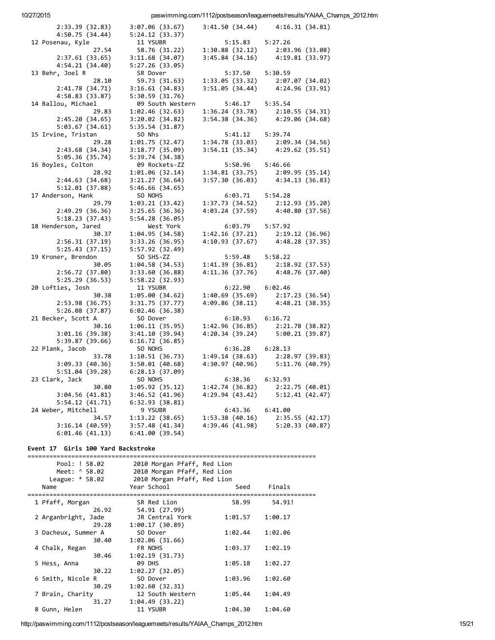| 2:33.39(32.83)                        | 3:07.06 (33.67)             |                     | $3:41.50(34.44)$ $4:16.31(34.81)$                                                                                           |
|---------------------------------------|-----------------------------|---------------------|-----------------------------------------------------------------------------------------------------------------------------|
| 4:50.75(34.44)                        | 5:24.12 (33.37)             |                     |                                                                                                                             |
| 12 Posenau, Kyle                      | 11 YSUBR                    | 5:15.83 5:27.26     |                                                                                                                             |
| 27.54                                 | 58.76 (31.22)               |                     | 1:30.88 (32.12) 2:03.96 (33.08)<br>3:45.84 (34.16) 4:19.81 (33.97)                                                          |
| 2:37.61(33.65)                        | 3:11.68(34.07)              |                     |                                                                                                                             |
| 4:54.21(34.40)                        | 5:27.26(33.05)              |                     |                                                                                                                             |
| 13 Behr, Joel R                       | SR Dover                    | 5:37.50             | 5:30.59                                                                                                                     |
| 28.10                                 | 59.73 (31.63)               |                     | 1:33.05 (33.32) 2:07.07 (34.02)                                                                                             |
| 2:41.78(34.71)                        | 3:16.61(34.83)              |                     | $3:51.05(34.44)$ $4:24.96(33.91)$                                                                                           |
| 4:58.83(33.87)                        | 5:30.59(31.76)              |                     |                                                                                                                             |
| 14 Ballou, Michael                    | 09 South Western            | 5:46.17             | 5:35.54                                                                                                                     |
| 29.83                                 | 1:02.46(32.63)              |                     |                                                                                                                             |
| 2:45.20(34.65)                        | 3:20.02(34.82)              |                     | 1:36.24 (33.78) 2:10.55 (34.31)<br>3:54.38 (34.36) 4:29.06 (34.68)                                                          |
| 5:03.67(34.61)                        | 5:35.54(31.87)              |                     |                                                                                                                             |
| 15 Irvine, Tristan                    | SO Nhs                      | 5:41.12 5:39.74     |                                                                                                                             |
| 29.28                                 | 1:01.75(32.47)              |                     |                                                                                                                             |
| 2:43.68(34.34)                        | 3:18.77(35.09)              |                     | $\begin{array}{lll} 1:34.78 & (33.03) & \quad 2:09.34 & (34.56) \\ 3:54.11 & (35.34) & \quad 4:29.62 & (35.51) \end{array}$ |
| 5:05.36(35.74)                        | 5:39.74(34.38)              |                     |                                                                                                                             |
| 16 Boyles, Colton                     | 09 Rockets-ZZ               | 5:50.96 5:46.66     |                                                                                                                             |
| 28.92                                 | 1:01.06(32.14)              |                     |                                                                                                                             |
| 2:44.63(34.68)                        | 3:21.27(36.64)              |                     | $1:34.81$ (33.75) $2:09.95$ (35.14)<br>3:57.30 (36.03) $4:34.13$ (36.83)                                                    |
| 5:12.01(37.88)                        | 5:46.66(34.65)              |                     |                                                                                                                             |
| 17 Anderson, Hank                     | SO NOHS                     | 6:03.71 5:54.28     |                                                                                                                             |
| 29.79                                 | 1:03.21(33.42)              |                     | 1:37.73 (34.52) 2:12.93 (35.20)                                                                                             |
| 2:49.29(36.36)                        | 3:25.65(36.36)              |                     | 4:03.24 (37.59) 4:40.80 (37.56)                                                                                             |
|                                       |                             |                     |                                                                                                                             |
| 5:18.23(37.43)<br>18 Henderson, Jared | 5:54.28(36.05)<br>West York | 6:03.79 5:57.92     |                                                                                                                             |
|                                       |                             |                     |                                                                                                                             |
| 30.37                                 | 1:04.95(34.58)              |                     | $1:42.16(37.21)$ $2:19.12(36.96)$                                                                                           |
| 2:56.31(37.19)                        | 3:33.26(36.95)              | 4:10.93(37.67)      | 4:48.28 (37.35)                                                                                                             |
| 5:25.43(37.15)                        | 5:57.92(32.49)              |                     |                                                                                                                             |
| 19 Kroner, Brendon                    | SO SHS-ZZ                   | 5:59.48 5:58.22     |                                                                                                                             |
| 30.05                                 | 1:04.58(34.53)              |                     | 1:41.39 (36.81) 2:18.92 (37.53)                                                                                             |
| 2:56.72(37.80)                        | 3:33.60(36.88)              |                     | $4:11.36(37.76)$ $4:48.76(37.40)$                                                                                           |
| 5:25.29(36.53)                        | 5:58.22(32.93)              |                     |                                                                                                                             |
| 20 Lofties, Josh                      | 11 YSUBR                    | $6:22.90$ $6:02.46$ |                                                                                                                             |
| 30.38                                 | 1:05.00(34.62)              |                     | $1:40.69(35.69)$ $2:17.23(36.54)$                                                                                           |
| 2:53.98(36.75)                        | 3:31.75(37.77)              |                     | 4:09.86 (38.11) 4:48.21 (38.35)                                                                                             |
| 5:26.08(37.87)                        | 6:02.46(36.38)              |                     |                                                                                                                             |
| 21 Becker, Scott A                    | SO Dover                    | 6:10.93             | 6:16.72                                                                                                                     |
| 30.16                                 | 1:06.11(35.95)              | 1:42.96 (36.85)     | 2:21.78 (38.82)                                                                                                             |
| 3:01.16(39.38)                        | 3:41.10(39.94)              |                     | $4:20.34(39.24)$ $5:00.21(39.87)$                                                                                           |
| 5:39.87(39.66)                        | 6:16.72(36.85)              |                     |                                                                                                                             |
| 22 Plank, Jacob                       | SO NOHS                     | 6:36.28             | 6:28.13                                                                                                                     |
| 33.78                                 | 1:10.51(36.73)              |                     | 1:49.14 (38.63) 2:28.97 (39.83)                                                                                             |
| 3:09.33(40.36)                        | 3:50.01(40.68)              |                     | 4:30.97 (40.96) 5:11.76 (40.79)                                                                                             |
| 5:51.04(39.28)                        | 6:28.13(37.09)              |                     |                                                                                                                             |
| 23 Clark, Jack                        | SO NOHS                     | 6:38.36 6:32.93     |                                                                                                                             |
| 30.80                                 | 1:05.92(35.12)              |                     | $1:42.74(36.82)$ $2:22.75(40.01)$                                                                                           |
| 3:04.56(41.81)                        | 3:46.52(41.96)              |                     | $4:29.94(43.42)$ $5:12.41(42.47)$                                                                                           |
| 5:54.12(41.71)                        | 6:32.93(38.81)              |                     |                                                                                                                             |
| 24 Weber, Mitchell                    | 9 YSUBR                     | 6:43.36 6:41.00     |                                                                                                                             |
| 34.57                                 | 1:13.22(38.65)              |                     | 1:53.38 (40.16) 2:35.55 (42.17)                                                                                             |
| 3:16.14(40.59)                        | 3:57.48(41.34)              |                     | 4:39.46 (41.98) 5:20.33 (40.87)                                                                                             |
| 6:01.46(41.13)                        | 6:41.00(39.54)              |                     |                                                                                                                             |

## Event 17 Girls 100 Yard Backstroke

| Pool: ! 58.02       | 2010 Morgan Pfaff, Red Lion |         |         |
|---------------------|-----------------------------|---------|---------|
| Meet: ^ 58.02       | 2010 Morgan Pfaff, Red Lion |         |         |
| League: $* 58.02$   | 2010 Morgan Pfaff, Red Lion |         |         |
| Name                | Year School                 | Seed    | Finals  |
| 1 Pfaff, Morgan     | SR Red Lion                 | 58.99   | 54.91!  |
| 26.92               | 54.91 (27.99)               |         |         |
| 2 Arganbright, Jade | JR Central York             | 1:01.57 | 1:00.17 |
| 29.28               | 1:00.17(30.89)              |         |         |
| 3 Dacheux, Summer A | SO Dover                    | 1:02.44 | 1:02.06 |
| 30.40               | 1:02.06(31.66)              |         |         |
| 4 Chalk, Regan      | FR NOHS                     | 1:03.37 | 1:02.19 |
| 30.46               | 1:02.19(31.73)              |         |         |
| 5 Hess, Anna        | <b>09 DHS</b>               | 1:05.18 | 1:02.27 |
| 30.22               | 1:02.27(32.05)              |         |         |
| 6 Smith, Nicole R   | SO Dover                    | 1:03.96 | 1:02.60 |
| 30.29               | 1:02.60(32.31)              |         |         |
| 7 Brain, Charity    | 12 South Western            | 1:05.44 | 1:04.49 |
| 31.27               | 1:04.49(33.22)              |         |         |
| 8 Gunn, Helen       | 11 YSUBR                    | 1:04.30 | 1:04.60 |

http://paswimming.com/1112/postseason/leaguemeets/results/YAIAA\_Champs\_2012.htm 15/21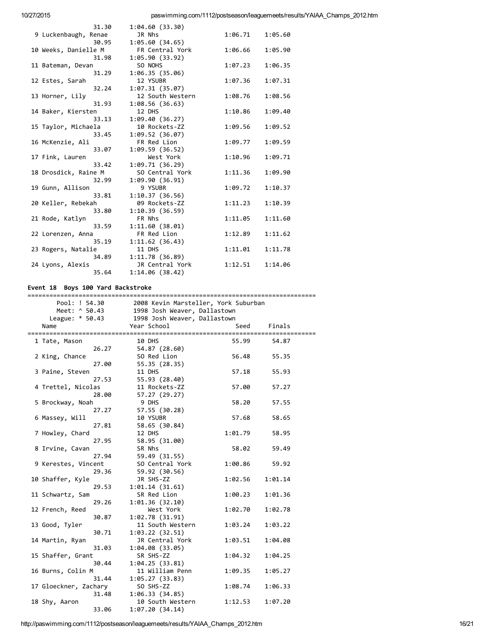| 31.30                | 1:04.60(33.30)   |         |         |
|----------------------|------------------|---------|---------|
| 9 Luckenbaugh, Renae | JR Nhs           | 1:06.71 | 1:05.60 |
| 30.95                | 1:05.60(34.65)   |         |         |
| 10 Weeks, Danielle M | FR Central York  | 1:06.66 | 1:05.90 |
| 31.98                | 1:05.90(33.92)   |         |         |
| 11 Bateman, Devan    | SO NOHS          | 1:07.23 | 1:06.35 |
| 31.29                | 1:06.35(35.06)   |         |         |
| 12 Estes, Sarah      | 12 YSUBR         | 1:07.36 | 1:07.31 |
| 32.24                | 1:07.31(35.07)   |         |         |
| 13 Horner, Lily      | 12 South Western | 1:08.76 | 1:08.56 |
| 31.93                | 1:08.56(36.63)   |         |         |
| 14 Baker, Kiersten   | 12 DHS           | 1:10.86 | 1:09.40 |
| 33.13                | 1:09.40 (36.27)  |         |         |
| 15 Taylor, Michaela  | 10 Rockets-ZZ    | 1:09.56 | 1:09.52 |
| 33.45                | 1:09.52(36.07)   |         |         |
| 16 McKenzie, Ali     | FR Red Lion      | 1:09.77 | 1:09.59 |
| 33.07                | 1:09.59 (36.52)  |         |         |
| 17 Fink, Lauren      | West York        | 1:10.96 | 1:09.71 |
| 33.42                | 1:09.71 (36.29)  |         |         |
| 18 Drosdick, Raine M | SO Central York  | 1:11.36 | 1:09.90 |
| 32.99                | 1:09.90(36.91)   |         |         |
| 19 Gunn, Allison     | 9 YSUBR          | 1:09.72 | 1:10.37 |
| 33.81                | 1:10.37(36.56)   |         |         |
| 20 Keller, Rebekah   | 09 Rockets-ZZ    | 1:11.23 | 1:10.39 |
| 33.80                | 1:10.39(36.59)   |         |         |
| 21 Rode, Katlyn      | FR Nhs           | 1:11.05 | 1:11.60 |
| 33.59                | 1:11.60(38.01)   |         |         |
| 22 Lorenzen, Anna    | FR Red Lion      | 1:12.89 | 1:11.62 |
| 35.19                | 1:11.62(36.43)   |         |         |
| 23 Rogers, Natalie   | 11 DHS           | 1:11.01 | 1:11.78 |
| 34.89                | 1:11.78(36.89)   |         |         |
| 24 Lyons, Alexis     | JR Central York  | 1:12.51 | 1:14.06 |
| 35.64                | 1:14.06(38.42)   |         |         |

## Event 18 Boys 100 Yard Backstroke

|  | 2008 Kevin Marsteller, York Suburban<br>Pool: ! 54.30 |       |                              |                              |         |         |  |
|--|-------------------------------------------------------|-------|------------------------------|------------------------------|---------|---------|--|
|  | Meet: ^ 50.43                                         |       | 1998 Josh Weaver, Dallastown |                              |         |         |  |
|  | League: * 50.43                                       |       |                              | 1998 Josh Weaver, Dallastown |         |         |  |
|  | Name                                                  |       |                              | Year School                  | Seed    | Finals  |  |
|  |                                                       |       |                              |                              |         |         |  |
|  | 1 Tate, Mason                                         |       |                              | 10 DHS                       | 55.99   | 54.87   |  |
|  |                                                       | 26.27 |                              | 54.87 (28.60)                |         |         |  |
|  | 2 King, Chance                                        |       |                              | SO Red Lion                  | 56.48   | 55.35   |  |
|  |                                                       | 27.00 |                              | 55.35 (28.35)                |         |         |  |
|  | 3 Paine, Steven                                       |       |                              | 11 DHS                       | 57.18   | 55.93   |  |
|  |                                                       | 27.53 |                              | 55.93 (28.40)                |         |         |  |
|  |                                                       |       |                              | 11 Rockets-ZZ                |         |         |  |
|  | 4 Trettel, Nicolas                                    |       |                              |                              | 57.00   | 57.27   |  |
|  |                                                       | 28.00 |                              | 57.27 (29.27)                |         |         |  |
|  | 5 Brockway, Noah                                      |       |                              | 9 DHS                        | 58.20   | 57.55   |  |
|  |                                                       | 27.27 |                              | 57.55 (30.28)                |         |         |  |
|  | 6 Massey, Will                                        |       |                              | 10 YSUBR                     | 57.68   | 58.65   |  |
|  |                                                       | 27.81 |                              | 58.65 (30.84)                |         |         |  |
|  | 7 Howley, Chard                                       |       |                              | 12 DHS                       | 1:01.79 | 58.95   |  |
|  |                                                       | 27.95 |                              | 58.95 (31.00)                |         |         |  |
|  | 8 Irvine, Cavan                                       |       |                              | SR Nhs                       | 58.02   | 59.49   |  |
|  |                                                       | 27.94 |                              | 59.49 (31.55)                |         |         |  |
|  | 9 Kerestes, Vincent                                   |       |                              | SO Central York              | 1:00.86 | 59.92   |  |
|  |                                                       | 29.36 |                              | 59.92 (30.56)                |         |         |  |
|  | 10 Shaffer, Kyle                                      |       |                              | JR SHS-ZZ                    | 1:02.56 | 1:01.14 |  |
|  |                                                       | 29.53 |                              | 1:01.14(31.61)               |         |         |  |
|  | 11 Schwartz, Sam                                      |       |                              | SR Red Lion                  | 1:00.23 | 1:01.36 |  |
|  |                                                       | 29.26 |                              | 1:01.36(32.10)               |         |         |  |
|  | 12 French, Reed                                       |       |                              | West York                    | 1:02.70 | 1:02.78 |  |
|  |                                                       | 30.87 |                              | 1:02.78(31.91)               |         |         |  |
|  | 13 Good, Tyler                                        |       |                              | 11 South Western             | 1:03.24 | 1:03.22 |  |
|  |                                                       | 30.71 |                              | 1:03.22(32.51)               |         |         |  |
|  | 14 Martin, Ryan                                       |       |                              | JR Central York              | 1:03.51 | 1:04.08 |  |
|  |                                                       | 31.03 |                              | 1:04.08(33.05)               |         |         |  |
|  | 15 Shaffer, Grant                                     |       |                              | SR SHS-ZZ                    | 1:04.32 | 1:04.25 |  |
|  |                                                       |       |                              |                              |         |         |  |
|  |                                                       | 30.44 |                              | 1:04.25(33.81)               |         |         |  |
|  | 16 Burns, Colin M                                     |       |                              | 11 William Penn              | 1:09.35 | 1:05.27 |  |
|  |                                                       | 31.44 |                              | 1:05.27(33.83)               |         |         |  |
|  | 17 Gloeckner, Zachary                                 |       |                              | SO SHS-ZZ                    | 1:08.74 | 1:06.33 |  |
|  |                                                       | 31.48 |                              | 1:06.33(34.85)               |         |         |  |
|  | 18 Shy, Aaron                                         |       |                              | 10 South Western             | 1:12.53 | 1:07.20 |  |
|  |                                                       | 33.06 |                              | 1:07.20(34.14)               |         |         |  |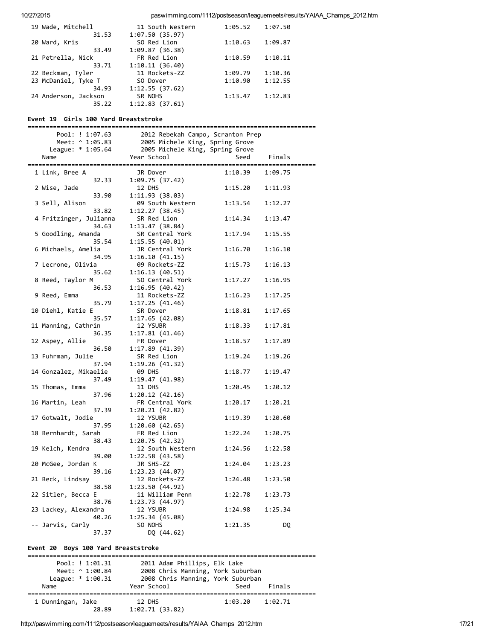| 19 Wade, Mitchell    | 11 South Western | 1:05.52 | 1:07.50 |
|----------------------|------------------|---------|---------|
| 31.53                | 1:07.50(35.97)   |         |         |
| 20 Ward, Kris        | SO Red Lion      | 1:10.63 | 1:09.87 |
| 33.49                | 1:09.87(36.38)   |         |         |
| 21 Petrella, Nick    | FR Red Lion      | 1:10.59 | 1:10.11 |
| 33.71                | 1:10.11(36.40)   |         |         |
| 22 Beckman, Tyler    | 11 Rockets-ZZ    | 1:09.79 | 1:10.36 |
| 23 McDaniel, Tyke T  | SO Dover         | 1:10.90 | 1:12.55 |
| 34.93                | 1:12.55(37.62)   |         |         |
| 24 Anderson, Jackson | SR NOHS          | 1:13.47 | 1:12.83 |
| 35.22                | 1:12.83(37.61)   |         |         |

#### Event 19 Girls 100 Yard Breaststroke

=============================================================================== Pool: ! 1:07.63 2012 Rebekah Campo, Scranton Prep Meet: ^ 1:05.83 2005 Michele King, Spring Grove League: \* 1:05.64 2005 Michele King, Spring Grove Name The Year School Seed Finals =============================================================================== 1 Link, Bree A JR Dover 1:10.39 1:09.75 32.33 1:09.75 (37.42) 2 Wise, Jade 12 DHS 1:15.20 1:11.93 33.90 1:11.93 (38.03) 3 Sell, Alison 09 South Western 1:13.54 1:12.27 33.82 1:12.27 (38.45) 4 Fritzinger, Julianna SR Red Lion 1:14.34 1:13.47 34.63 1:13.47 (38.84) 5 Goodling, Amanda SR Central York 1:17.94 1:15.55 35.54 1:15.55 (40.01) 6 Michaels, Amelia JR Central York 1:16.70 1:16.10 34.95 1:16.10 (41.15) 7 Lecrone, Olivia 09 Rockets‐ZZ 1:15.73 1:16.13 35.62 1:16.13 (40.51) 8 Reed, Taylor M SO Central York 1:17.27 1:16.95 36.53 1:16.95 (40.42) 9 Reed, Emma 11 Rockets-ZZ 1:16.23 1:17.25<br>35.79 1:17.25 (41.46) 35.79 1:17.25 (41.46) 10 Diehl, Katie E SR Dover 1:18.81 1:17.65 35.57 1:17.65 (42.08) 11 Manning, Cathrin 12 YSUBR 1:18.33 1:17.81 36.35 1:17.81 (41.46) 12 Aspey, Allie FR Dover 1:18.57 1:17.89 36.50 1:17.89 (41.39) 13 Fuhrman, Julie SR Red Lion 1:19.24 1:19.26 37.94 1:19.26 (41.32) 14 Gonzalez, Mikaelie 09 DHS 1:18.77 1:19.47 37.49 1:19.47 (41.98) 15 Thomas, Emma 11 DHS 1:20.45 1:20.12 37.96 1:20.12 (42.16) 16 Martin, Leah FR Central York 1:20.17 1:20.21 37.39 1:20.21 (42.82) 17 Gotwalt, Jodie 12 YSUBR 1:19.39 1:20.60 37.95 1:20.60 (42.65) 18 Bernhardt, Sarah FR Red Lion 1:22.24 1:20.75 38.43 1:20.75 (42.32) 19 Kelch, Kendra 12 South Western 1:24.56 1:22.58 39.00 1:22.58 (43.58) 20 McGee, Jordan K JR SHS‐ZZ 1:24.04 1:23.23 39.16 1:23.23 (44.07) 21 Beck, Lindsay 12 Rockets‐ZZ 1:24.48 1:23.50 38.58 1:23.50 (44.92) 22 Sitler, Becca E 11 William Penn 1:22.78 1:23.73 38.76 1:23.73 (44.97) 23 Lackey, Alexandra 12 YSUBR 1:24.98 1:25.34 40.26 1:25.34 (45.08) -- Jarvis, Carly SO NOHS 1:21.35 DQ 37.37 DQ (44.62)

=============================================================================== Pool: ! 1:01.31 2011 Adam Phillips, Elk Lake Meet: ^ 1:00.84 2008 Chris Manning, York Suburban<br>League: \* 1:00.31 2008 Chris Manning, York Suburban 2008 Chris Manning, York Suburban Name Year School Seed Finals =============================================================================== 1 Dunningan, Jake 12 DHS 1:03.20 1:02.71

http://paswimming.com/1112/postseason/leaguemeets/results/YAIAA\_Champs\_2012.htm 17/21 28.89 1:02.71 (33.82)

Event 20 Boys 100 Yard Breaststroke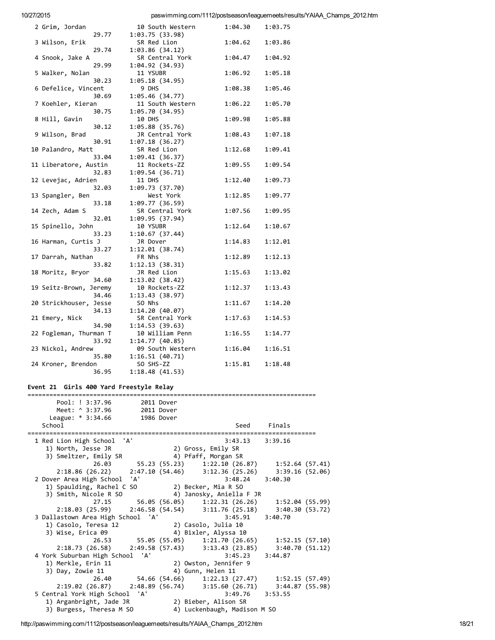| 2 Grim, Jordan<br>29.77            | 10 South Western<br>1:03.75 (33.98)                | 1:04.30 | 1:03.75 |
|------------------------------------|----------------------------------------------------|---------|---------|
| 3 Wilson, Erik<br>29.74            | SR Red Lion<br>1:03.86 (34.12)                     | 1:04.62 | 1:03.86 |
| 4 Snook, Jake A<br>29.99           | SR Central York                                    | 1:04.47 | 1:04.92 |
| 5 Walker, Nolan                    | 1:04.92 (34.93)<br>11 YSUBR                        | 1:06.92 | 1:05.18 |
| 30.23<br>6 Defelice, Vincent       | 1:05.18 (34.95)<br>9 DHS                           | 1:08.38 | 1:05.46 |
| 30.69<br>7 Koehler, Kieran         | 1:05.46 (34.77)<br>11 South Western                | 1:06.22 | 1:05.70 |
| 30.75<br>8 Hill, Gavin             | 1:05.70 (34.95)<br>10 DHS                          | 1:09.98 | 1:05.88 |
| 30.12<br>9 Wilson, Brad            | 1:05.88 (35.76)<br>JR Central York                 | 1:08.43 | 1:07.18 |
| 30.91<br>10 Palandro, Matt         | 1:07.18 (36.27)<br>SR Red Lion                     | 1:12.68 | 1:09.41 |
| 33.04<br>11 Liberatore, Austin     | 1:09.41(36.37)<br>11 Rockets-ZZ                    | 1:09.55 | 1:09.54 |
| 32.83<br>12 Levejac, Adrien        | 1:09.54(36.71)<br>11 DHS                           | 1:12.40 | 1:09.73 |
| 32.03<br>13 Spangler, Ben          | 1:09.73 (37.70)<br>West York                       | 1:12.85 | 1:09.77 |
| 33.18<br>14 Zech, Adam S           | 1:09.77(36.59)<br>SR Central York                  | 1:07.56 | 1:09.95 |
| 32.01<br>15 Spinello, John         | 1:09.95 (37.94)<br>10 YSUBR                        | 1:12.64 | 1:10.67 |
| 33.23<br>16 Harman, Curtis J       | 1:10.67(37.44)<br>JR Dover                         | 1:14.83 | 1:12.01 |
| 33.27<br>17 Darrah, Nathan         | 1:12.01 (38.74)<br>FR Nhs                          | 1:12.89 | 1:12.13 |
| 33.82<br>18 Moritz, Bryor<br>34.60 | 1:12.13(38.31)<br>JR Red Lion                      | 1:15.63 | 1:13.02 |
| 19 Seitz-Brown, Jeremy<br>34.46    | 1:13.02(38.42)<br>10 Rockets-ZZ<br>1:13.43 (38.97) | 1:12.37 | 1:13.43 |
| 20 Strickhouser, Jesse<br>34.13    | SO Nhs<br>1:14.20 (40.07)                          | 1:11.67 | 1:14.20 |
| 21 Emery, Nick<br>34.90            | SR Central York<br>1:14.53(39.63)                  | 1:17.63 | 1:14.53 |
| 22 Fogleman, Thurman T<br>33.92    | 10 William Penn<br>1:14.77(40.85)                  | 1:16.55 | 1:14.77 |
| 23 Nickol, Andrew<br>35.80         | 09 South Western<br>1:16.51 (40.71)                | 1:16.04 | 1:16.51 |
| 24 Kroner, Brendon<br>36.95        | SO SHS-ZZ<br>1:18.48(41.53)                        | 1:15.81 | 1:18.48 |

## Event 21 Girls 400 Yard Freestyle Relay

| Pool: ! 3:37.96                                                 | 2011 Dover |                       |                                                     |                |  |
|-----------------------------------------------------------------|------------|-----------------------|-----------------------------------------------------|----------------|--|
| Meet: ^ 3:37.96                                                 | 2011 Dover |                       |                                                     |                |  |
| League: * 3:34.66 1986 Dover                                    |            |                       |                                                     |                |  |
| School                                                          |            |                       | Seed Finals                                         |                |  |
|                                                                 |            |                       |                                                     |                |  |
| 1 Red Lion High School 'A'                                      |            |                       | 3:43.13                                             | 3:39.16        |  |
| 1) North, Jesse JR                                              |            | 2) Gross, Emily SR    |                                                     |                |  |
| 3) Smeltzer, Emily SR                                           |            | 4) Pfaff, Morgan SR   |                                                     |                |  |
|                                                                 |            |                       | 26.03 55.23 (55.23) 1:22.10 (26.87) 1:52.64 (57.41) |                |  |
| 2:18.86 (26.22) 2:47.10 (54.46) 3:12.36 (25.26) 3:39.16 (52.06) |            |                       |                                                     |                |  |
| 2 Dover Area High School 'A'                                    |            |                       | $3:48.24$ $3:40.30$                                 |                |  |
| 1) Spaulding, Rachel C SO 2) Becker, Mia R SO                   |            |                       |                                                     |                |  |
| 3) Smith, Nicole R SO                                           |            |                       | 4) Janosky, Aniella F JR                            |                |  |
|                                                                 |            |                       | 27.15 56.05 (56.05) 1:22.31 (26.26) 1:52.04 (55.99) |                |  |
| 2:18.03 (25.99) 2:46.58 (54.54) 3:11.76 (25.18) 3:40.30 (53.72) |            |                       |                                                     |                |  |
| 3 Dallastown Area High School 'A'                               |            |                       | 3:45.91                                             | 3:40.70        |  |
| 1) Casolo, Teresa 12                                            |            | 2) Casolo, Julia 10   |                                                     |                |  |
| 3) Wise, Erica 09                                               |            | 4) Bixler, Alyssa 10  |                                                     |                |  |
|                                                                 |            |                       | 26.53 55.05 (55.05) 1:21.70 (26.65) 1:52.15 (57.10) |                |  |
| 2:18.73 (26.58) 2:49.58 (57.43) 3:13.43 (23.85)                 |            |                       |                                                     | 3:40.70(51.12) |  |
| 4 York Suburban High School 'A'                                 |            |                       | 3:45.23                                             | 3:44.87        |  |
| 1) Merkle, Erin 11                                              |            | 2) Owston, Jennifer 9 |                                                     |                |  |
| 3) Day, Zowie 11                                                |            | 4) Gunn, Helen 11     |                                                     |                |  |
|                                                                 |            |                       | 26.40 54.66 (54.66) 1:22.13 (27.47) 1:52.15 (57.49) |                |  |
| 2:19.02 (26.87) 2:48.89 (56.74) 3:15.60 (26.71) 3:44.87 (55.98) |            |                       |                                                     |                |  |
| 5 Central York High School 'A'                                  |            |                       | 3:49.76                                             | 3:53.55        |  |
| 1) Arganbright, Jade JR                                         |            | 2) Bieber, Alison SR  |                                                     |                |  |
|                                                                 |            |                       |                                                     |                |  |
| 3) Burgess, Theresa M SO                                        |            |                       | 4) Luckenbaugh, Madison M SO                        |                |  |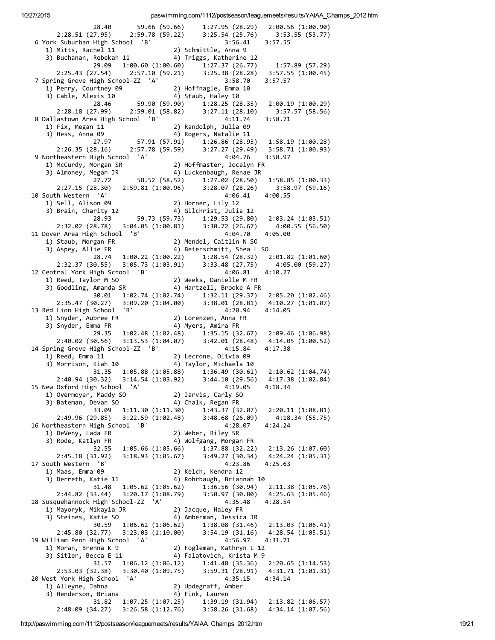10/27/2015

paswimming.com/1112/postseason/leaguemeets/results/YAIAA\_Champs\_2012.htm

| 28.40<br>59.66 (59.66)                                                                        |                                                                                                                                                          |
|-----------------------------------------------------------------------------------------------|----------------------------------------------------------------------------------------------------------------------------------------------------------|
|                                                                                               | 1:27.95 (28.29) 2:00.56 (1:00.90)                                                                                                                        |
|                                                                                               | 2:28.51 (27.95) 2:59.78 (59.22) 3:25.54 (25.76) 3:53.55 (53.77)                                                                                          |
| 6 York Suburban High School 'B'                                                               | 3:56.41<br>3:57.55                                                                                                                                       |
| 1) Mitts, Rachel 11 (2) Schmittle, Anna 9<br>3) Buchanan, Rebekah 11 (4) Triggs, Katherine 12 |                                                                                                                                                          |
|                                                                                               |                                                                                                                                                          |
| 29.09                                                                                         | 1:57.89 (57.29)                                                                                                                                          |
|                                                                                               | $1:00.60$ $(1:00.60)$ $1:27.37$ $(26.77)$                                                                                                                |
| 2:25.43 (27.54)                                                                               | $2:57.10(59.21)$ $3:25.38(28.28)$<br>3:57.55 (1:00.45)                                                                                                   |
| 7 Spring Grove High School-ZZ 'A'                                                             | 3:58.70<br>3:57.57                                                                                                                                       |
| pring Grove (145)<br>1) Perry, Courtney 09<br>2001 - Alexis 10                                | 2) Hoffnagle, Emma 10                                                                                                                                    |
|                                                                                               | 4) Staub, Haley 10                                                                                                                                       |
| 28.46                                                                                         |                                                                                                                                                          |
|                                                                                               | $\begin{array}{cccc} 59.90 & (59.90) & 1:28.25 & (28.35) & 2:00.19 & (1:00.29) \\ 2:59.01 & (58.82) & 3:27.11 & (28.10) & 3:57.57 & (58.56) \end{array}$ |
| 2:28.18(27.99)                                                                                |                                                                                                                                                          |
| 8 Dallastown Area High School 'B'                                                             | 4:11.74<br>3:58.71                                                                                                                                       |
| 1) Fix, Megan 11                                                                              | 2) Randolph, Julia 09                                                                                                                                    |
| 3) Hess, Anna 09                                                                              | 4) Rogers, Natalie 11                                                                                                                                    |
|                                                                                               | 27.97 57.91 (57.91) 1:26.86 (28.95) 1:58.19 (1:00.28)<br>2:26.35 (28.16) 2:57.78 (59.59) 3:27.27 (29.49) 3:58.71 (1:00.93)                               |
|                                                                                               |                                                                                                                                                          |
|                                                                                               |                                                                                                                                                          |
| 9 Northeastern High School 'A'                                                                | 4:04.76 3:58.97                                                                                                                                          |
| 1) McCurdy, Morgan SR                                                                         | 2) Hoffmaster, Jocelyn FR                                                                                                                                |
| 3) Almoney, Megan JR                                                                          | 4) Luckenbaugh, Renae JR                                                                                                                                 |
| 27.72                                                                                         | 58.52 (58.52) 1:27.02 (28.50)<br>1:58.85(1:00.33)                                                                                                        |
|                                                                                               | $2:59.81(1:00.96)$ $3:28.07(28.26)$                                                                                                                      |
| 2:27.15 (28.30)                                                                               | 3:58.97(59.16)                                                                                                                                           |
| 10 South Western 'A'                                                                          | 4:06.41<br>4:00.55                                                                                                                                       |
| 1) Sell, Alison 09                                                                            | 2) Horner, Lily 12                                                                                                                                       |
| 3) Brain, Charity 12                                                                          | 4) Gilchrist, Julia 12                                                                                                                                   |
| 28.93                                                                                         | 59.73 (59.73) 1:29.53 (29.80) 2:03.24 (1:03.51)                                                                                                          |
|                                                                                               | $3:04.05(1:00.81)$ $3:30.72(26.67)$                                                                                                                      |
| 2:32.02 (28.78)                                                                               | 4:00.55 (56.50)                                                                                                                                          |
| 11 Dover Area High School<br>'B'                                                              | 4:04.70<br>4:05.00<br>2) Mendel, Caitlin N SO                                                                                                            |
| 1) Staub, Morgan FR                                                                           |                                                                                                                                                          |
| 3) Aspey, Allie FR                                                                            | 4) Beierschmitt, Shea L SO                                                                                                                               |
| 28.74                                                                                         | $1:00.22$ $(1:00.22)$ $1:28.54$ $(28.32)$ $2:01.82$ $(1:01.60)$                                                                                          |
|                                                                                               |                                                                                                                                                          |
| 2:32.37 (30.55)                                                                               | 3:05.73 (1:03.91) 3:33.48 (27.75) 4:05.00 (59.27)                                                                                                        |
| 12 Central York High School 'B'                                                               | 4:06.81<br>4:10.27                                                                                                                                       |
| 1) Reed, Taylor M SO                                                                          | 2) Weeks, Danielle M FR                                                                                                                                  |
| 3) Goodling, Amanda SR                                                                        | 4) Hartzell, Brooke A FR                                                                                                                                 |
| 30.01                                                                                         | 1:02.74 (1:02.74) 1:32.11 (29.37) 2:05.20 (1:02.46)                                                                                                      |
|                                                                                               |                                                                                                                                                          |
| 2:35.47(30.27)                                                                                | $3:09.20$ $(1:04.00)$ $3:38.01$ $(28.81)$ $4:10.27$ $(1:01.07)$                                                                                          |
| 'В'<br>13 Red Lion High School                                                                | 4:20.94<br>4:14.05                                                                                                                                       |
| 1) Snyder, Aubree FR                                                                          | 2) Lorenzen, Anna FR                                                                                                                                     |
| 3) Snyder, Emma FR                                                                            | 4) Myers, Amira FR                                                                                                                                       |
|                                                                                               |                                                                                                                                                          |
|                                                                                               |                                                                                                                                                          |
| 29.35                                                                                         | 1:02.48 (1:02.48) 1:35.15 (32.67) 2:09.46 (1:06.98)                                                                                                      |
| 2:40.02 (30.56)                                                                               | $3:13.53(1:04.07)$ $3:42.01(28.48)$<br>4:14.05 (1:00.52)                                                                                                 |
| 14 Spring Grove High School-ZZ 'B'                                                            | 4:15.84<br>4:17.38                                                                                                                                       |
| 1) Reed, Emma 11                                                                              | 2) Lecrone, Olivia 09                                                                                                                                    |
|                                                                                               |                                                                                                                                                          |
| 3) Morrison, Kiah 10                                                                          | 4) Taylor, Michaela 10                                                                                                                                   |
| 31.35                                                                                         | $1:05.88(1:05.88)$ $1:36.49(30.61)$<br>2:10.62(1:04.74)                                                                                                  |
| 2:40.94(30.32)<br>3:14.54(1:03.92)                                                            | 3:44.10(29.56)<br>4:17.38(1:02.84)                                                                                                                       |
| 15 New Oxford High School<br>'A'                                                              | 4:19.05<br>4:18.34                                                                                                                                       |
| 1) Overmoyer, Maddy SO                                                                        | 2) Jarvis, Carly SO                                                                                                                                      |
|                                                                                               | 4) Chalk, Regan FR                                                                                                                                       |
| 3) Bateman, Devan SO                                                                          |                                                                                                                                                          |
| 33.09<br>1:11.30(1:11.30)                                                                     | 1:43.37(32.07)<br>2:20.11(1:08.81)                                                                                                                       |
| 2:49.96(29.85)<br>3:22.59 (1:02.48)                                                           | 3:48.68(26.09)<br>4:18.34(55.75)                                                                                                                         |
| 16 Northeastern High School<br>'B'                                                            | 4:28.07<br>4:24.24                                                                                                                                       |
| 1) DeVeny, Lada FR                                                                            | 2) Weber, Riley SR                                                                                                                                       |
| 3) Rode, Katlyn FR                                                                            | 4) Wolfgang, Morgan FR                                                                                                                                   |
|                                                                                               |                                                                                                                                                          |
| 32.55<br>1:05.66 (1:05.66)                                                                    | 1:37.88 (32.22)<br>2:13.26(1:07.60)                                                                                                                      |
| 2:45.18 (31.92)<br>3:18.93 (1:05.67)                                                          | 3:49.27 (30.34)<br>4:24.24(1:05.31)                                                                                                                      |
| 17 South Western<br>'B'                                                                       | 4:23.86<br>4:25.63                                                                                                                                       |
| 1) Maas, Emma 09                                                                              | 2) Kelch, Kendra 12                                                                                                                                      |
|                                                                                               |                                                                                                                                                          |
| 3) Derreth, Katie 11                                                                          | 4) Rohrbaugh, Briannah 10                                                                                                                                |
| 31.48<br>1:05.62(1:05.62)                                                                     | 1:36.56(30.94)<br>2:11.38(1:05.76)                                                                                                                       |
| 2:44.82 (33.44)<br>3:20.17 (1:08.79)                                                          | 3:50.97 (30.80)<br>4:25.63 (1:05.46)                                                                                                                     |
| 18 Susquehannock High School-ZZ 'A'                                                           | 4:35.48<br>4:28.54                                                                                                                                       |
| 1) Mayoryk, Mikayla JR                                                                        | 2) Jacque, Haley FR                                                                                                                                      |
| 3) Steines, Katie SO                                                                          | 4) Amberman, Jessica JR                                                                                                                                  |
|                                                                                               |                                                                                                                                                          |
| 30.59<br>1:06.62(1:06.62)                                                                     | 1:38.08(31.46)<br>2:13.03(1:06.41)                                                                                                                       |
| 2:45.80 (32.77)<br>3:23.03 (1:10.00)                                                          | 3:54.19(31.16)<br>4:28.54(1:05.51)                                                                                                                       |
| 19 William Penn High School 'A'                                                               | 4:56.97<br>4:31.71                                                                                                                                       |
| 1) Moran, Brenna K 9                                                                          | 2) Fogleman, Kathryn L 12                                                                                                                                |
|                                                                                               |                                                                                                                                                          |
| 3) Sitler, Becca E 11                                                                         | 4) Falatovich, Krista M 9                                                                                                                                |
| 31.57<br>1:06.12(1:06.12)                                                                     | 1:41.48(35.36)<br>2:20.65(1:14.53)                                                                                                                       |
| 2:53.03 (32.38)                                                                               | $3:30.40(1:09.75)$ $3:59.31(28.91)$<br>4:31.71(1:01.31)                                                                                                  |
| 20 West York High School<br>'A'                                                               | 4:35.15<br>4:34.14                                                                                                                                       |
| 1) Alleyne, Jahna                                                                             | 2) Updegraff, Amber                                                                                                                                      |
|                                                                                               |                                                                                                                                                          |
| 3) Henderson, Briana                                                                          | 4) Fink, Lauren                                                                                                                                          |
| 31.82<br>1:07.25(1:07.25)<br>2:48.09 (34.27)                                                  | 1:39.19(31.94)<br>2:13.82(1:06.57)<br>$3:26.58(1:12.76)$ $3:58.26(31.68)$<br>4:34.14 (1:07.56)                                                           |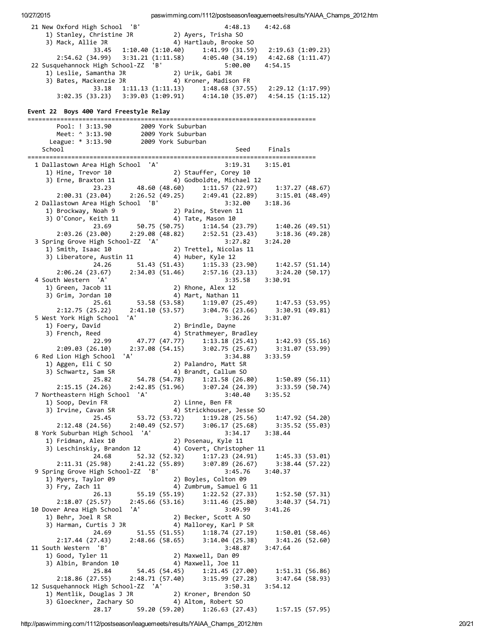21 New Oxford High School 'B' 4:48.13 4:42.68 1) Stanley, Christine JR 2) Ayers, Trisha SO 3) Mack, Allie JR 4) Hartlaub, Brooke SO 33.45 1:10.40 (1:10.40) 1:41.99 (31.59) 2:19.63 (1:09.23) 2:54.62 (34.99) 3:31.21 (1:11.58) 4:05.40 (34.19) 4:42.68 (1:11.47) 22 Susquehannock High School‐ZZ 'B' 5:00.00 4:54.15 1) Leslie, Samantha JR 2) Urik, Gabi JR 3) Bates, Mackenzie JR 4) Kroner, Madison FR 33.18 1:11.13 (1:11.13) 1:48.68 (37.55) 2:29.12 (1:17.99) 3:02.35 (33.23) 3:39.03 (1:09.91) 4:14.10 (35.07) 4:54.15 (1:15.12) Event 22 Boys 400 Yard Freestyle Relay =============================================================================== Pool: ! 3:13.90 2009 York Suburban Meet: ^ 3:13.90 2009 York Suburban League: \* 3:13.90 2009 York Suburban School School Seed Finals =============================================================================== 1 Dallastown Area High School 'A' 3:19.31 3:15.01 1) Hine, Trevor 10 2) Stauffer, Corey 10 3) Erne, Braxton 11 (4) Godboldte, Michael 12 23.23 48.60 (48.60) 1:11.57 (22.97) 1:37.27 (48.67) 2:00.31 (23.04) 2:26.52 (49.25) 2:49.41 (22.89) 3:15.01 (48.49) 2 Dallastown Area High School 'B' 3:32.00 3:18.36 1) Brockway, Noah 9 2) Paine, Steven 11<br>
1) Brockway, Noah 9 2) Paine, Steven 11<br>
3) O'Conor, Keith 11 4) Tate, Mason 10 3) O'Conor, Keith 11 4) Tate, Mason 10 23.69 50.75 (50.75) 1:14.54 (23.79) 1:40.26 (49.51) 2:03.26 (23.00) 2:29.08 (48.82) 2:52.51 (23.43) 3:18.36 (49.28) 3 Spring Grove High School‐ZZ 'A' 3:27.82 3:24.20 1) Smith, Isaac 10 2) Trettel, Nicolas 11 3) Liberatore, Austin 11 (4) Huber, Kyle 12 24.26 51.43 (51.43) 1:15.33 (23.90) 1:42.57 (51.14) 2:06.24 (23.67) 2:34.03 (51.46) 2:57.16 (23.13) 3:24.20 (50.17) 4 South Western 'A' 3:35.58 3:30.91 1) Green, Jacob 11 2) Rhone, Alex 12 3) Grim, Jordan 10 4) Mart, Nathan 11 25.61 53.58 (53.58) 1:19.07 (25.49) 1:47.53 (53.95) 2:12.75 (25.22) 2:41.10 (53.57) 3:04.76 (23.66) 3:30.91 (49.81) 5 West York High School 'A' 3:36.26 3:31.07 1) Foery, David 2) Brindle, Dayne 3) French, Reed (4) Strathmeyer, Bradley 22.99 47.77 (47.77) 1:13.18 (25.41) 1:42.93 (55.16) 2:09.03 (26.10) 2:37.08 (54.15) 3:02.75 (25.67) 3:31.07 (53.99) 6 Red Lion High School 'A' 3:34.88 3:33.59 1) Aggen, Eli C Solomool (allegendary of the control of the control of the control of the control of the control of the control of the control of the control of the control of the control of the control of the control of t 3) Schwartz, Sam SR 4) Brandt, Callum SO 25.82 54.78 (54.78) 1:21.58 (26.80) 1:50.89 (56.11) 2:15.15 (24.26) 2:42.85 (51.96) 3:07.24 (24.39) 3:33.59 (50.74) 7 Northeastern High School 'A' 3:40.40 3:35.52 1) Soop, Devin FR 2) Linne, Ben FR 3) Irvine, Cavan SR 4) Strickhouser, Jesse SO 25.45 53.72 (53.72) 1:19.28 (25.56) 1:47.92 (54.20) 2:12.48 (24.56) 2:40.49 (52.57) 3:06.17 (25.68) 3:35.52 (55.03) 8 York Suburban High School 'A' 3:34.17 3:38.44 1) Fridman, Alex 10 2) Posenau, Kyle 11 3) Leschinskiy, Brandon 12 4) Covert, Christopher 11 24.68 52.32 (52.32) 1:17.23 (24.91) 1:45.33 (53.01) 2:11.31 (25.98) 2:41.22 (55.89) 3:07.89 (26.67) 3:38.44 (57.22) 9 Spring Grove High School‐ZZ 'B' 3:45.76 3:40.37 1) Myers, Taylor 09 2) Boyles, Colton 09 3) Fry, Zach 11 4) Zumbrum, Samuel G 11 26.13 55.19 (55.19) 1:22.52 (27.33) 1:52.50 (57.31) 2:18.07 (25.57) 2:45.66 (53.16) 3:11.46 (25.80) 3:40.37 (54.71) 10 Dover Area High School 'A' 3:49.99 3:41.26 1) Behr, Joel R SR 2) Becker, Scott A SO<br>3) Harman, Curtis J JR 4) Mallorey, Karl P SR 3) Harman, Curtis J JR 4) Mallorey, Karl P SR 24.69 51.55 (51.55) 1:18.74 (27.19) 1:50.01 (58.46) 2:17.44 (27.43) 2:48.66 (58.65) 3:14.04 (25.38) 3:41.26 (52.60) 11 South Western 'B' 3:48.87 3:47.64 1) Good, Tyler 11 2) Maxwell, Dan 09 3) Albin, Brandon 10 (4) Maxwell, Joe 11 25.84 54.45 (54.45) 1:21.45 (27.00) 1:51.31 (56.86) 2:18.86 (27.55) 2:48.71 (57.40) 3:15.99 (27.28) 3:47.64 (58.93) 12 Susquehannock High School‐ZZ 'A' 3:50.31 3:54.12 1) Mentlik, Douglas J JR 2) Kroner, Brendon SO 12 Susquehannock High School-ZZ<br>
3:50.31<br>
1) Mentlik, Douglas J JR<br>
3) Gloeckner, Zachary SO 4) Altom, Robert SO 28.17 59.20 (59.20) 1:26.63 (27.43) 1:57.15 (57.95)

10/27/2015 paswimming.com/1112/postseason/leaguemeets/results/YAIAA\_Champs\_2012.htm

http://paswimming.com/1112/postseason/leaguemeets/results/YAIAA\_Champs\_2012.htm 20/21